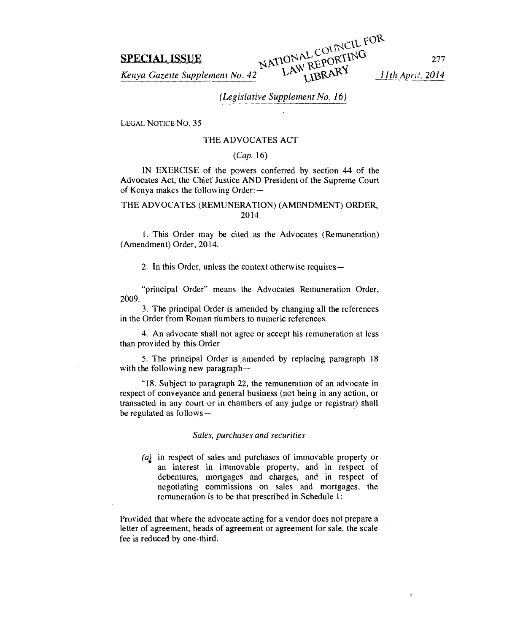**SPECIAL ISSUE SPECIAL ISSUE**<br>*Kenya Gazette Supplement No. 42 LAW REPORTING* 277 LAW REPORTING 277

# *(Legislative Supplement No. 16)*

LEGAL NOTICE NO. 35

# THE ADVOCATES ACT

### *(Cap.* 16)

IN EXERCISE of the powers conferred by section 44 of the Advocates Act, the Chief Justice AND President of the Supreme Court of Kenya makes the following Order:—

# THE ADVOCATES (REMUNERATION) (AMENDMENT) ORDER, 2014

1. This Order may be cited as the Advocates (Remuneration) (Amendment) Order, 2014.

2. In this Order, unless the context otherwise requires—

"principal Order" means the Advocates Remuneration Order, 2009.

3. The principal Order is amended by changing all the references in the Order from Roman numbers to numeric references.

4. An advocate shall not agree or accept his remuneration at less than provided by this Order

5. The principal Order is amended by replacing paragraph 18 with the following new paragraph—

"18. Subject to paragraph 22, the remuneration of an advocate in respect of conveyance and general business (not being in any action, or transacted in any court or in chambers of any judge or registrar) shall be regulated as follows—

## *Sales, purchases and securities*

*(a)* in respect of sales and purchases of immovable property or an interest in immovable property, and in respect of debentures, mortgages and charges, and in respect of negotiating commissions on sales and mortgages, the remuneration is to be that prescribed in Schedule 1:

Provided that where the advocate acting for a vendor does not prepare a letter of agreement, heads of agreement or agreement for sale, the scale fee is reduced by one-third.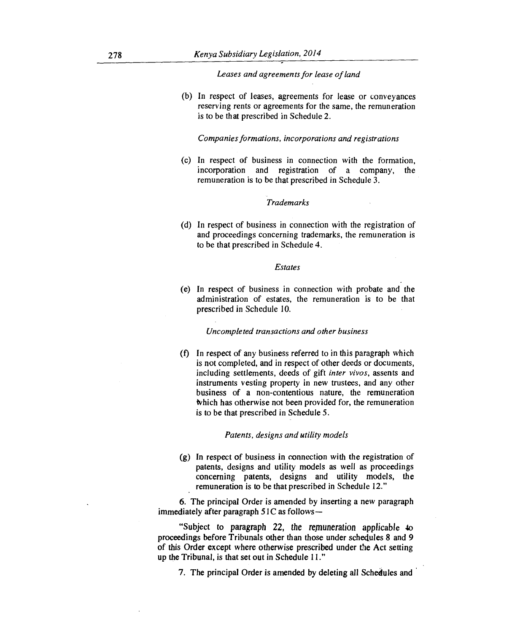*Leases and agreements for lease of land* 

(b) In respect of leases, agreements for lease or conveyances reserving rents or agreements for the same, the remuneration is to be that prescribed in Schedule 2.

*Companies formations, incorporations and registrations* 

(c) In respect of business in connection with the formation, incorporation and registration of a company, the remuneration is to be that prescribed in Schedule 3.

# *Trademarks*

(d) In respect of business in connection with the registration of and proceedings concerning trademarks, the remuneration is to be that prescribed in Schedule 4.

### *Estates*

(e) In respect of business in connection with probate and the administration of estates, the remuneration is to be that prescribed in Schedule 10.

*Uncompleted transactions and other business* 

(f) In respect of any business referred to in this paragraph which is not completed, and in respect of other deeds or documents, including settlements, deeds of gift *inter vivos,* assents and instruments vesting property in new trustees, and any other business of a non-contentious nature, the remuneration which has otherwise not been provided for, the remuneration is to be that prescribed in Schedule 5.

### *Patents, designs and utility models*

(g) In respect of business in connection with the registration of patents, designs and utility models as well as proceedings concerning patents, designs and utility models, the remuneration is to be that prescribed in Schedule 12."

6. The principal Order is amended by inserting a new paragraph immediately after paragraph  $51C$  as follows—

"Subject to paragraph 22, *the* remuneration applicable 4o proceedings before Tribunals other than those under schedules 8 and 9 of this Order except where otherwise prescribed under the Act setting up the Tribunal, is that set out in Schedule 11."

7. The principal Order is amended by deleting all Schedules and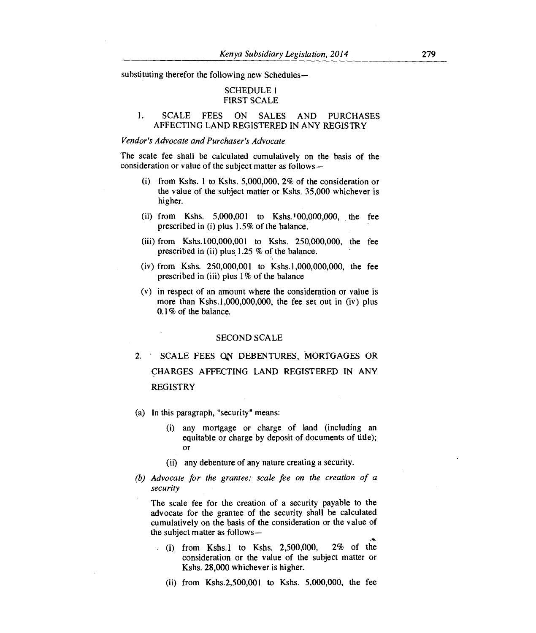substituting therefor the following new Schedules—

# SCHEDULE 1 FIRST SCALE

# 1. SCALE FEES ON SALES AND PURCHASES AFFECTING LAND REGISTERED IN ANY REGISTRY

### *Vendor's Advocate and Purchaser's Advocate*

The scale fee shall be calculated cumulatively on the basis of the consideration or value of the subject matter as follows —

- (i) from Kshs. 1 to Kshs. 5,000,000, 2% of the consideration or the value of the subject matter or Kshs. 35,000 whichever is higher.
- (ii) from Kshs. 5,000,001 to Kshs. 100,000,000, the fee prescribed in (i) plus 1.5% of the balance.
- (iii) from Kshs.100,000,001 to Kshs. 250,000,000, the fee prescribed in (ii) plus. 1.25 % of the balance.
- (iv) from Kshs. 250,000,001 to Kshs.1,000,000,000, the fee prescribed in (iii) plus 1% of the balance
- (v) in respect of an amount where the consideration or value is more than Kshs.1,000,000,000, the fee set out in (iv) plus 0.1% of the balance.

### SECOND SCALE

- 2. SCALE FEES ON DEBENTURES, MORTGAGES OR CHARGES AFFECTING LAND REGISTERED IN ANY REGISTRY
- (a) In this paragraph, "security" means:
	- (i) any mortgage or charge of land (including an equitable or charge by deposit of documents of title); or
	- (ii) any debenture of any nature creating a security.
- *(b) Advocate for the grantee: scale fee on the creation of a security*

The scale fee for the creation of a security payable to the advocate for the grantee of the security shall be calculated cumulatively on the basis of the consideration or the value of the subject matter as follows-

- $(i)$  from Kshs.1 to Kshs. 2,500,000, 2% of the consideration or the value of the subject matter or Kshs. 28,000 whichever is higher.
	- (ii) from Kshs.2,500,001 to Kshs. 5,000,000, the fee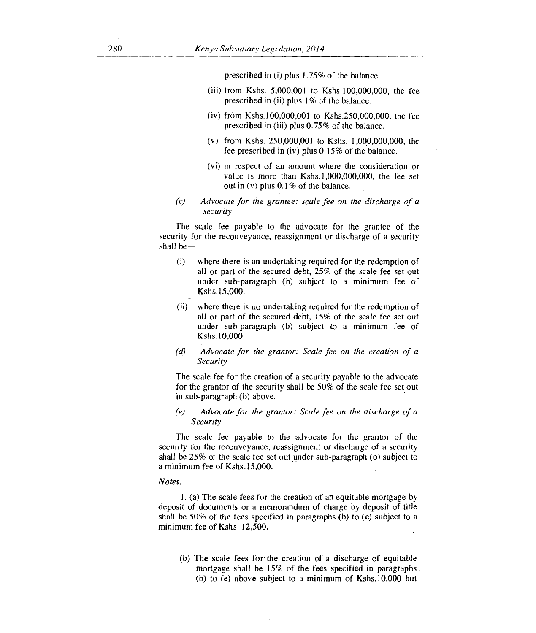prescribed in (i) plus 1.75% of the balance.

- (iii) from Kshs. 5,000,001 to Kshs.lO0,000,000, the fee prescribed in (ii) plus 1% of the balance.
- (iv) from Kshs.100,000,001 to Kshs.250,000,000, the fee prescribed in (iii) plus 0.75% of the balance.
- (v) from Kshs. 250,000,001 to Kshs. 1,000,000,000, the fee prescribed in (iv) plus 0.15% of the balance.
- (vi) in respect of an amount where the consideration or value is more than Kshs.1,000,000,000, the fee set out in  $(v)$  plus 0.1% of the balance.
- *(c) Advocate for the grantee: scale fee on the discharge of a security*

The scale fee payable to the advocate for the grantee of the security for the reconveyance, reassignment or discharge of a security shall be—

- (i) where there is an undertaking required for the redemption of all or part of the secured debt, 25% of the scale fee set out under sub-paragraph (b) subject to a minimum fee of Kshs.15,000.
- (ii) where there is no undertaking required for the redemption of all or part of the secured debt, 15% of the scale fee set out under sub-paragraph (b) subject to a minimum fee of Kshs.10,000.
- *(d) Advocate for the grantor: Scale fee on the creation of a Security*

The scale fee for the creation of a security payable to the advocate for the grantor of the security shall be 50% of the scale fee set out in sub-paragraph (b) above.

*(e) Advocate for the grantor: Scale fee on the discharge of a Security* 

The scale fee payable to the advocate for the grantor of the security for the reconveyance, reassignment or discharge of a security shall be 25% of the scale fee set out under sub-paragraph (b) subject to a minimum fee of Kshs.15,000.

### *Notes.*

1. (a) The scale fees for the creation of an equitable mortgage by deposit of documents or a memorandum of charge by deposit of title shall be 50% of the fees specified in paragraphs (b) to (e) subject to a *minimum* fee of Kshs. 12,500.

(b) The scale fees for the creation of a discharge of equitable mortgage shall be 15% of the fees specified in paragraphs (b) to (e) above subject to a *minimum* of Kshs.10,000 but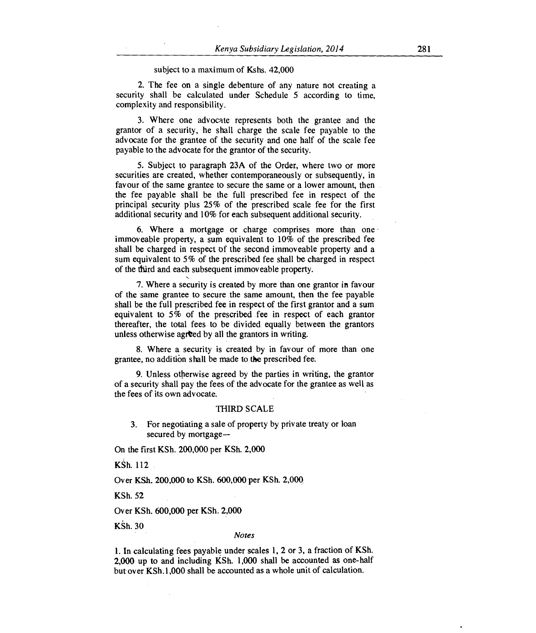### subject to a maximum of Kshs. 42,000

2. The fee on a single debenture of any nature not creating a security shall be calculated under Schedule 5 according to time, complexity and responsibility.

3. Where one advocate represents both the grantee and the grantor of a security, he shall charge the scale fee payable to the advocate for the grantee of the security and one half of the scale fee payable to the advocate for the grantor of the security.

5. Subject to paragraph 23A of the Order, where two or more securities are created, whether contemporaneously or subsequently, in favour of the same grantee to secure the same or a lower amount, then the fee payable shall be the full prescribed fee in respect of the principal security plus 25% of the prescribed scale fee for the first additional security and 10% for each subsequent additional security.

6. Where a mortgage or charge comprises more than one immoveable property, a sum equivalent to 10% of the prescribed fee shall be charged in respect of the second immoveable property and a sum equivalent to 5% of the prescribed fee shall be charged in respect of the third and each subsequent immoveable property.

7. Where a security is created by more than one grantor in favour of the same grantee to secure the same amount, then the fee payable shall be the full prescribed fee in respect of the first grantor and a sum equivalent to 5% of the prescribed fee in respect of each grantor thereafter, the total fees to be divided equally between the grantors unless otherwise agreed by all the grantors in writing.

8. Where a security is created by in favour of more than one grantee, no addition shall be made to the prescribed fee.

9. Unless otherwise agreed by the parties in writing, the grantor of a security shall pay the fees of the advocate for the grantee as well as the fees of its own advocate.

### THIRD SCALE

3. For negotiating a sale of property by private treaty or loan secured by mortgage—

On the first KSh. 200,000 per KSh. 2,000

KSh. 112

Over KSh. 200,000 to KSh. 600,000 per KSh. 2,000

KSh. 52

Over KSh. 600,000 per KSh. 2,000

KSh. 30

### *Notes*

1. In calculating fees payable under scales 1, 2 or 3, a fraction of KSh. 2,000 up to and including KSh. 1,000 shall be accounted as one-half but over KSh.1,000 shall be accounted as a whole unit of calculation.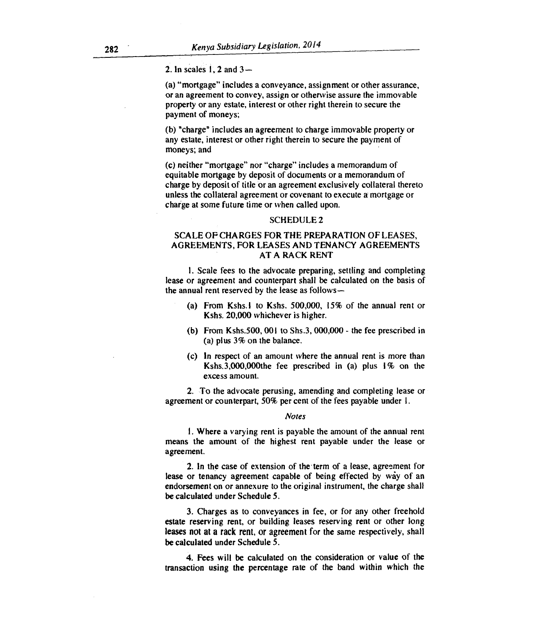2. In scales 1, 2 and 3-

(a) "mortgage" includes a conveyance, assignment or other assurance, or an agreement to convey, assign or otherwise assure the immovable property or any estate, interest or other right therein to secure the payment of moneys;

(b) "charge" includes an agreement to charge immovable property or any estate, interest or other right therein to secure the payment of moneys; and

(c) neither "mortgage" nor "charge" includes a memorandum of equitable mortgage by deposit of documents or a memorandum of charge by deposit of title or an agreement exclusively collateral thereto unless the collateral agreement or covenant to execute a' mortgage or charge at some future time or when called upon.

### SCHEDULE 2

# SCALE OF CHARGES FOR THE PREPARATION OF LEASES, AGREEMENTS, FOR LEASES AND TENANCY AGREEMENTS AT A RACK RENT

1. Scale fees to the advocate preparing, settling and completing lease or agreement and counterpart shall be calculated on the basis of the annual rent reserved by the lease as follows —

- (a) From Kshs.l to Kshs. 500,000, 15% of the annual *rent* or Kshs. 20,000 whichever is higher.
- (b) From Kshs.500, 001 to Shs.3, 000,000 the fee prescribed in (a) plus 3% on the balance.
- (c) In respect of an amount where the annual rent is more than Kshs.3,000,000the fee prescribed in (a) plus 1% on the excess amount.

2. To the advocate perusing, amending and completing lease or agreement or counterpart, 50% per cent of the fees payable under 1.

### *Notes*

1. Where a varying rent is payable the amount of the annual rent means the amount of the highest rent payable under the lease or agreement.

2. In the case of extension of the term of a lease, agreement for lease or tenancy agreement capable of being effected by way of an endorsement on or annexure to the original instrument, the charge shall be calculated under Schedule 5.

3. Charges as to conveyances in fee, or for any other freehold estate reserving rent, or building leases reserving rent or other long **leases not at a rack rent, or agreement for the same respectively, shall be calculated under Schedule 5.** 

**4. Fees will be calculated on** the consideration or value of the transaction **using the percentage rate of the band within which the**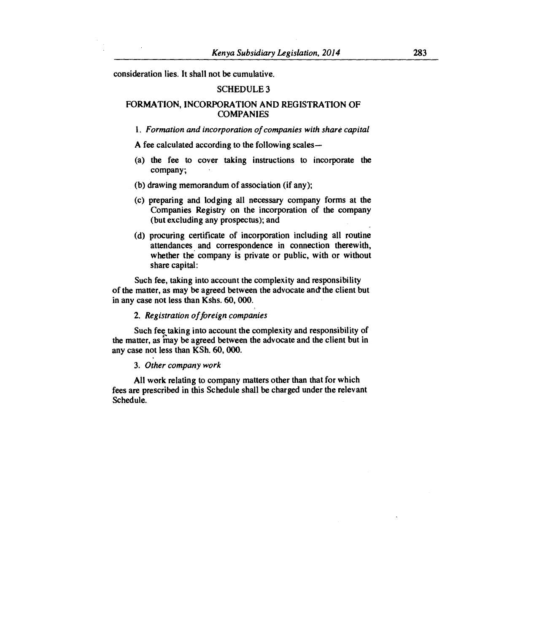**consideration lies. It shall not be cumulative.** 

## **SCHEDULE 3**

# **FORMATION, INCORPORATION AND REGISTRATION OF COMPANIES**

*1. Formation and incorporation of companies with share capital* 

**A fee calculated according to the following scales—** 

- **(a) the fee to cover taking instructions to incorporate the company;**
- **(b) drawing memorandum of association (if any);**
- **(c) preparing and lodging all necessary company forms at the Companies Registry on the incorporation of the company (but excluding any prospectus); and**
- **(d) procuring certificate of incorporation including all routine attendances and correspondence in connection therewith, whether the company is private or public, with or without share capital:**

**Such fee, taking into account the complexity and responsibility of the matter, as may be agreed between the advocate and the client but in any case not less than Kshs. 60, 000.** 

### **2.** *Registration of foreign companies*

**Such fee<sup>s</sup> taking into account the complexity and responsibility of the matter, as may be agreed between the advocate and the client but in any case not less than KSh. 60, 000.** 

### **3.** *Other company work*

**All work relating to company matters other than that for which fees are prescribed in this Schedule shall be charged under the relevant Schedule.**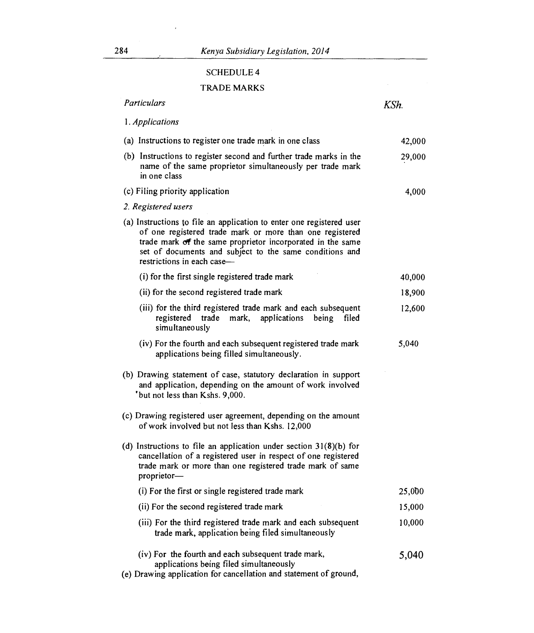# SCHEDULE 4

# TRADE MARKS

| Particulars                                                                                                                                                                                                                                                                             | KSh.   |
|-----------------------------------------------------------------------------------------------------------------------------------------------------------------------------------------------------------------------------------------------------------------------------------------|--------|
| 1. Applications                                                                                                                                                                                                                                                                         |        |
| (a) Instructions to register one trade mark in one class                                                                                                                                                                                                                                | 42,000 |
| (b) Instructions to register second and further trade marks in the<br>name of the same proprietor simultaneously per trade mark<br>in one class                                                                                                                                         | 29,000 |
| (c) Filing priority application                                                                                                                                                                                                                                                         | 4,000  |
| 2. Registered users                                                                                                                                                                                                                                                                     |        |
| (a) Instructions to file an application to enter one registered user<br>of one registered trade mark or more than one registered<br>trade mark of the same proprietor incorporated in the same<br>set of documents and subject to the same conditions and<br>restrictions in each case- |        |
| (i) for the first single registered trade mark                                                                                                                                                                                                                                          | 40,000 |
| (ii) for the second registered trade mark                                                                                                                                                                                                                                               | 18,900 |
| (iii) for the third registered trade mark and each subsequent<br>registered trade<br>mark,<br>applications<br>filed<br>being<br>simultaneously                                                                                                                                          | 12,600 |
| (iv) For the fourth and each subsequent registered trade mark<br>applications being filled simultaneously.                                                                                                                                                                              | 5,040  |
| (b) Drawing statement of case, statutory declaration in support<br>and application, depending on the amount of work involved<br>'but not less than Kshs. 9,000.                                                                                                                         |        |
| (c) Drawing registered user agreement, depending on the amount<br>of work involved but not less than Kshs. 12,000                                                                                                                                                                       |        |
| (d) Instructions to file an application under section $31(8)(b)$ for<br>cancellation of a registered user in respect of one registered<br>trade mark or more than one registered trade mark of same<br>proprietor-                                                                      |        |
| (i) For the first or single registered trade mark                                                                                                                                                                                                                                       | 25,000 |
| (ii) For the second registered trade mark                                                                                                                                                                                                                                               | 15,000 |
| (iii) For the third registered trade mark and each subsequent<br>trade mark, application being filed simultaneously                                                                                                                                                                     | 10,000 |
| (iv) For the fourth and each subsequent trade mark,<br>applications being filed simultaneously<br>(e) Drawing application for cancellation and statement of ground,                                                                                                                     | 5,040  |

l,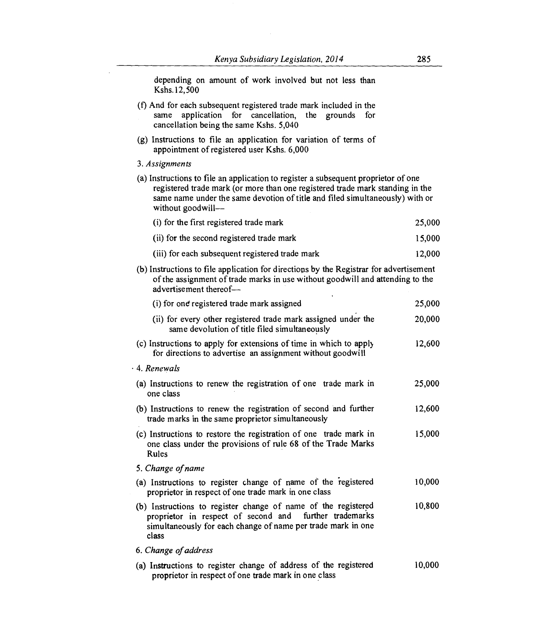depending on amount of work involved but not less than Kshs.12,500

- (t) And for each subsequent registered trade mark included in the same application for cancellation, the grounds for cancellation being the same Kshs. 5,040
- (g) Instructions to file an application for variation of terms of appointment of registered user Kshs. 6,000
- 3. *Assignments*
- (a) Instructions to file an application to register a subsequent proprietor of one registered trade mark (or more than one registered trade mark standing in the same name under the same devotion of title and filed simultaneously) with or without goodwill-

| (i) for the first registered trade mark         | 25.000 |
|-------------------------------------------------|--------|
| (ii) for the second registered trade mark       | 15,000 |
| (iii) for each subsequent registered trade mark | 12,000 |

(b) Instructions to file application for directions by the Registrar for advertisement of the assignment of trade marks in use without goodwill and attending to the advertisement thereof-

| (i) for one registered trade mark assigned                                                                                                                                                       | 25,000 |
|--------------------------------------------------------------------------------------------------------------------------------------------------------------------------------------------------|--------|
| (ii) for every other registered trade mark assigned under the<br>same devolution of title filed simultaneously                                                                                   | 20,000 |
| (c) Instructions to apply for extensions of time in which to apply<br>for directions to advertise an assignment without goodwill                                                                 | 12,600 |
| 4. Renewals                                                                                                                                                                                      |        |
| (a) Instructions to renew the registration of one trade mark in<br>one class                                                                                                                     | 25,000 |
| (b) Instructions to renew the registration of second and further<br>trade marks in the same proprietor simultaneously                                                                            | 12,600 |
| (c) Instructions to restore the registration of one trade mark in<br>one class under the provisions of rule 68 of the Trade Marks<br>Rules                                                       | 15,000 |
| 5. Change of name                                                                                                                                                                                |        |
| (a) Instructions to register change of name of the registered<br>proprietor in respect of one trade mark in one class                                                                            | 10,000 |
| (b) Instructions to register change of name of the registered<br>proprietor in respect of second and further trademarks<br>simultaneously for each change of name per trade mark in one<br>class | 10,800 |
| 6. Change of address                                                                                                                                                                             |        |
| (a) Instructions to register change of address of the registered<br>proprietor in respect of one trade mark in one class                                                                         | 10,000 |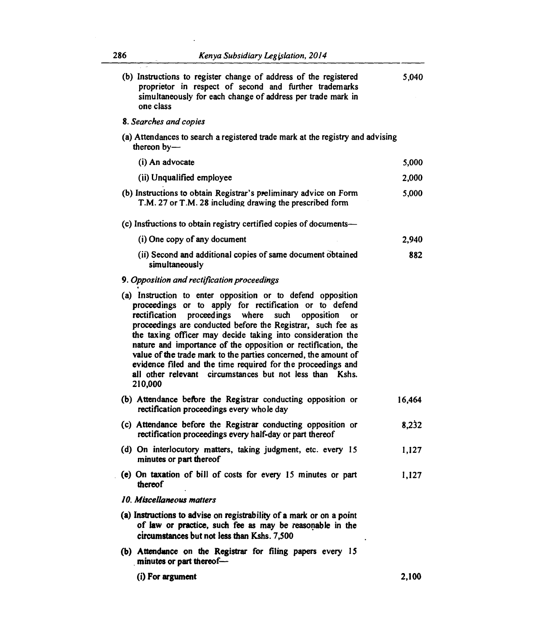$\ddot{\phantom{a}}$ 

| (b) Instructions to register change of address of the registered<br>proprietor in respect of second and further trademarks<br>simultaneously for each change of address per trade mark in<br>one class                                                                                                                                                                                                                                                                                                                                                                                                  | 5,040  |
|---------------------------------------------------------------------------------------------------------------------------------------------------------------------------------------------------------------------------------------------------------------------------------------------------------------------------------------------------------------------------------------------------------------------------------------------------------------------------------------------------------------------------------------------------------------------------------------------------------|--------|
| 8. Searches and copies                                                                                                                                                                                                                                                                                                                                                                                                                                                                                                                                                                                  |        |
| (a) Attendances to search a registered trade mark at the registry and advising<br>thereon $by-$                                                                                                                                                                                                                                                                                                                                                                                                                                                                                                         |        |
| (i) An advocate                                                                                                                                                                                                                                                                                                                                                                                                                                                                                                                                                                                         | 5,000  |
| (ii) Unqualified employee                                                                                                                                                                                                                                                                                                                                                                                                                                                                                                                                                                               | 2,000  |
| (b) Instructions to obtain Registrar's preliminary advice on Form<br>T.M. 27 or T.M. 28 including drawing the prescribed form                                                                                                                                                                                                                                                                                                                                                                                                                                                                           | 5,000  |
| (c) Instructions to obtain registry certified copies of documents—                                                                                                                                                                                                                                                                                                                                                                                                                                                                                                                                      |        |
| (i) One copy of any document                                                                                                                                                                                                                                                                                                                                                                                                                                                                                                                                                                            | 2,940  |
| (ii) Second and additional copies of same document obtained<br>simultaneously                                                                                                                                                                                                                                                                                                                                                                                                                                                                                                                           | 882    |
| 9. Opposition and rectification proceedings                                                                                                                                                                                                                                                                                                                                                                                                                                                                                                                                                             |        |
| (a) Instruction to enter opposition or to defend opposition<br>proceedings or to apply for rectification or to defend<br>proceedings where<br>rectification<br>such<br>opposition<br><b>OF</b><br>proceedings are conducted before the Registrar, such fee as<br>the taxing officer may decide taking into consideration the<br>nature and importance of the opposition or rectification, the<br>value of the trade mark to the parties concerned, the amount of<br>evidence filed and the time required for the proceedings and<br>all other relevant circumstances but not less than Kshs.<br>210,000 |        |
| (b) Attendance before the Registrar conducting opposition or<br>rectification proceedings every whole day                                                                                                                                                                                                                                                                                                                                                                                                                                                                                               | 16,464 |
| (c) Attendance before the Registrar conducting opposition or<br>rectification proceedings every half-day or part thereof                                                                                                                                                                                                                                                                                                                                                                                                                                                                                | 8,232  |
| (d) On interlocutory matters, taking judgment, etc. every 15<br>minutes or part thereof                                                                                                                                                                                                                                                                                                                                                                                                                                                                                                                 | 1,127  |
| (e) On taxation of bill of costs for every 15 minutes or part<br>thereof                                                                                                                                                                                                                                                                                                                                                                                                                                                                                                                                | 1,127  |
| 10. Miscellaneous matters                                                                                                                                                                                                                                                                                                                                                                                                                                                                                                                                                                               |        |
| (a) Instructions to advise on registrability of a mark or on a point<br>of law or practice, such fee as may be reasonable in the<br>circumstances but not less than Kshs. 7,500                                                                                                                                                                                                                                                                                                                                                                                                                         |        |
| (b) Attendance on the Registrar for filing papers every 15<br>minutes or part thereof-                                                                                                                                                                                                                                                                                                                                                                                                                                                                                                                  |        |
| (i) For argument                                                                                                                                                                                                                                                                                                                                                                                                                                                                                                                                                                                        | 2,100  |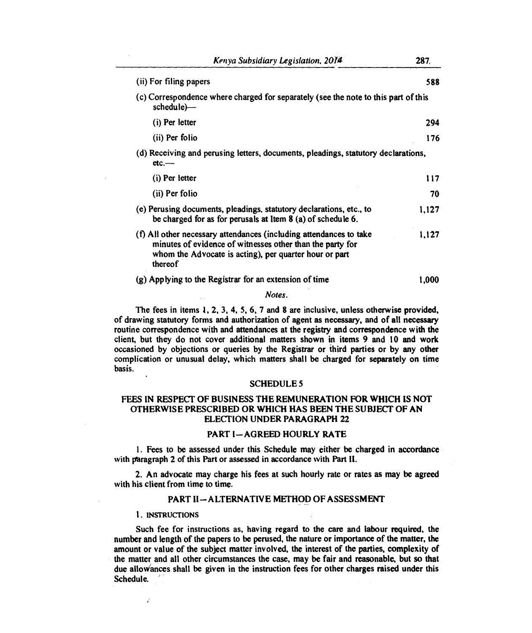| (ii) For filing papers                                                                                                                                                                               | 588   |
|------------------------------------------------------------------------------------------------------------------------------------------------------------------------------------------------------|-------|
| (c) Correspondence where charged for separately (see the note to this part of this<br>schedule)—                                                                                                     |       |
| (i) Per letter                                                                                                                                                                                       | 294   |
| (ii) Per folio                                                                                                                                                                                       | 176   |
| (d) Receiving and perusing letters, documents, pleadings, statutory declarations,<br>$etc.$ —–                                                                                                       |       |
| (i) Per letter                                                                                                                                                                                       | 117   |
| (ii) Per folio                                                                                                                                                                                       | 70    |
| (e) Perusing documents, pleadings, statutory declarations, etc., to<br>be charged for as for perusals at Item 8 (a) of schedule 6.                                                                   | 1.127 |
| (f) All other necessary attendances (including attendances to take<br>minutes of evidence of witnesses other than the party for<br>whom the Advocate is acting), per quarter hour or part<br>thereof | 1.127 |
| (g) Applying to the Registrar for an extension of time                                                                                                                                               | 1.000 |

*Notes.* 

**The fees in items 1, 2, 3, 4, 5, 6, 7 and 8 are inclusive, unless otherwise provided, of drawing statutory forms and authorization of agent as necessary, and of all necessary routine correspondence with and attendances at the registry and correspondence with the client, but they do not cover additional matters shown in items 9 and 10 and work occasioned by objections or queries by the Registrar or third parties or by any other complication or unusual delay, which matters shall be charged for separately on time basis.** 

## **SCHEDULE 5**

# **FEES IN RESPECT OF BUSINESS THE REMUNERATION FOR WHICH IS NOT OTHERWISE PRESCRIBED OR WHICH HAS BEEN THE SUBJECT OF AN ELECTION UNDER PARAGRAPH 22**

# **PART I—AGREED HOURLY RATE**

**1.Fees to be assessed under this Schedule may either be charged in accordance with paragraph 2 of this Part or assessed in accordance with Part II.** 

**2. An advocate may charge his fees at such hourly rate or rates as may be agreed with his client from time to time.** 

# **PART II—ALTERNATIVE METHOD OF ASSESSMENT**

### **1. INSTRUCTIONS**

Ź

**Such fee for instructions as, having regard to the care and labour required, the number and length of the papers to be perused, the nature or importance of the matter, the amount or value of the subject matter involved, the interest of the parties, complexity of the matter and all other circumstances the case, may be fair and reasonable, but so that due alloviances shall be given in the instruction fees for other charges raised under this Schedule.**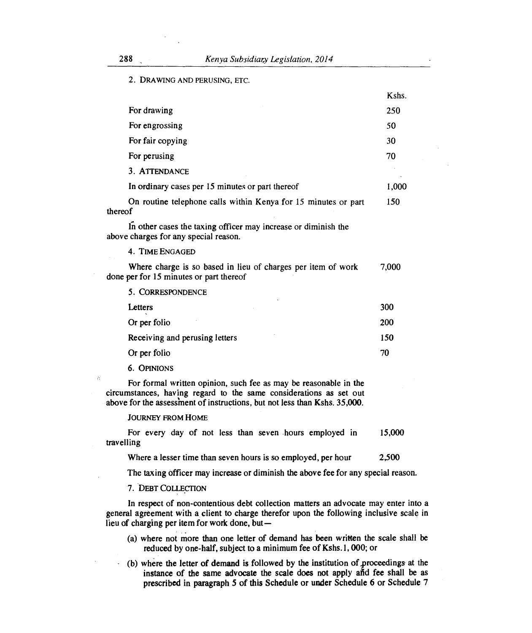$V$ chc

2. DRAWING AND PERUSING, ETC.

|                                         |                                                                | IJ 2112.   |
|-----------------------------------------|----------------------------------------------------------------|------------|
| For drawing                             |                                                                | 250        |
| For engrossing                          |                                                                | 50         |
| For fair copying                        |                                                                | 30         |
| For perusing                            |                                                                | 70         |
| 3. ATTENDANCE                           |                                                                |            |
|                                         | In ordinary cases per 15 minutes or part thereof               | 1,000      |
| thereof                                 | On routine telephone calls within Kenya for 15 minutes or part | 150        |
| above charges for any special reason.   | In other cases the taxing officer may increase or diminish the |            |
| 4. TIME ENGAGED                         |                                                                |            |
| done per for 15 minutes or part thereof | Where charge is so based in lieu of charges per item of work   | 7,000      |
| 5. CORRESPONDENCE                       |                                                                |            |
| Letters                                 |                                                                | 300        |
| Or per folio                            |                                                                | <b>200</b> |
| Receiving and perusing letters          |                                                                | 150        |
| Or per folio                            |                                                                | 70         |
|                                         |                                                                |            |

6. OPINIONS

 $\hat{\Omega}$ 

For formal written opinion, such fee as may be reasonable in the circumstances, having regard to the same considerations as set out above for the assessment of instructions, but not less than Kshs. 35,000.

### JOURNEY FROM HOME

For every day of not less than seven hours employed in 15,000 travelling

Where a lesser time than seven hours is so employed, per hour 2,500

The taxing officer may increase or diminish the above fee for any special reason.

# 7. DEBT COLLECTION

In respect of non-contentious debt collection matters an advocate may enter into a general agreement with a client to charge therefor upon the following inclusive scale in lieu of charging per item for work done, but—

- (a) where not more than one letter of demand has been written the scale shall be reduced by one-half, subject to a minimum fee of Kshs.1, 000; or
- (b) where the letter of demand is followed by the institution of proceedings at the instance of the same advocate the scale does not apply and fee shall be as prescribed in paragraph 5 of this Schedule or under Schedule 6 or Schedule 7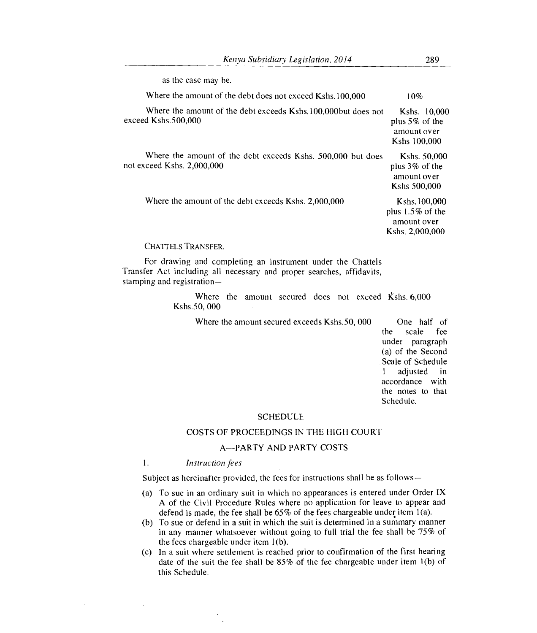| as the case may be.                                                                       |                                                                        |
|-------------------------------------------------------------------------------------------|------------------------------------------------------------------------|
| Where the amount of the debt does not exceed Kshs. 100,000                                | 10%                                                                    |
| Where the amount of the debt exceeds Kshs. 100,000 but does not<br>exceed Kshs.500.000    | Kshs. 10,000<br>plus $5\%$ of the<br>amount over<br>Kshs 100,000       |
| Where the amount of the debt exceeds Kshs. 500,000 but does<br>not exceed Kshs. 2,000,000 | Kshs. 50,000<br>plus $3\%$ of the<br>amount over<br>Kshs 500,000       |
| Where the amount of the debt exceeds Kshs. 2,000,000                                      | Kshs. 100,000<br>plus $1.5\%$ of the<br>amount over<br>Kshs. 2,000,000 |

### CHATTELS TRANSFER.

For drawing and completing an instrument under the Chattels Transfer Act including all necessary and proper searches, affidavits, stamping and registration—

> Where the amount secured does not exceed Kshs. 6,000 Kshs.50, 000

Where the amount secured exceeds Kshs.50, 000 One half of

the scale fee under paragraph (a) of the Second Scale of Schedule 1 adjusted in accordance with the notes to that Schedule.

### **SCHEDULE**

## COSTS OF PROCEEDINGS IN THE HIGH COURT

# A—PARTY AND PARTY COSTS

#### $\mathbf{1}$ . *Instruction fees*

Subject as hereinafter provided, the fees for instructions shall be as follows—

- (a) To sue in an ordinary suit in which no appearances is entered under Order IX A of the Civil Procedure Rules where no application for leave to appear and defend is made, the fee shall be  $65\%$  of the fees chargeable under item 1(a).
- (b) To sue or defend in a suit in which the suit is determined in a summary manner in any manner whatsoever without going to full trial the fee shall be 75% of the fees chargeable under item 1(b).
- (c) In a suit where settlement is reached prior to confirmation of the first hearing date of the suit the fee shall be 85% of the fee chargeable under item 1(b) of this Schedule.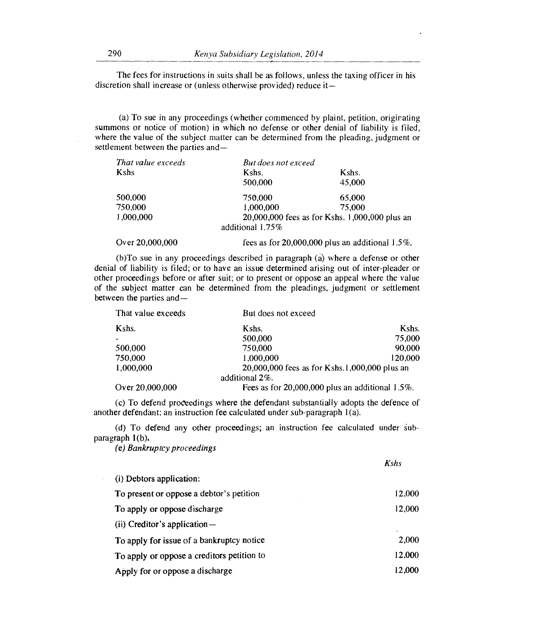The fees for instructions in suits shall be as follows, unless the taxing officer in his discretion shall increase or (unless otherwise provided) reduce it—

(a) To sue in any proceedings (whether commenced by plaint, petition, origirating summons or notice of motion) in which no defense or other denial of liability is filed, where the value of the subject matter can be determined from the pleading, judgment or settlement between the parties and—

| That value exceeds | But does not exceed                            |                                                   |
|--------------------|------------------------------------------------|---------------------------------------------------|
| Kshs               | Kshs.                                          | Kshs.                                             |
|                    | 500,000                                        | 45,000                                            |
| 500,000            | 750,000                                        | 65,000                                            |
| 750,000            | 1.000.000                                      | 75,000                                            |
| 1,000,000          | 20,000,000 fees as for Kshs. 1,000,000 plus an |                                                   |
|                    | additional 1.75%                               |                                                   |
| Over 20,000,000    |                                                | fees as for $20,000,000$ plus an additional 1.5%. |

(b)To sue in any proceedings described in paragraph (a) where a defense or other denial of liability is filed; or to have an issue determined arising out of inter-pleader or other proceedings before or after suit; or to present or oppose an appeal where the value of the subject matter can be determined from the pleadings, judgment or settlement between the parties and—

| That value exceeds | But does not exceed                                   |         |
|--------------------|-------------------------------------------------------|---------|
| Kshs.              | Kshs.                                                 | Kshs.   |
|                    | 500,000                                               | 75,000  |
| 500,000            | 750,000                                               | 90,000  |
| 750,000            | 1.000.000                                             | 120.000 |
| 1,000,000          | 20,000,000 fees as for Kshs.1,000,000 plus an         |         |
|                    | additional $2\%$ .                                    |         |
| Over 20,000,000    | Fees as for $20,000,000$ plus an additional $1.5\%$ . |         |

(c) To defend proCeedings where the defendant substantially adopts the defence of another defendant; an instruction fee calculated under sub-paragraph 1(a).

(d) To defend any other proceedings; an instruction fee calculated under subparagraph 1(b).

*(e) Bankruptcy proceedings* 

|                                            | <b>Kshs</b> |
|--------------------------------------------|-------------|
| (i) Debtors application:                   |             |
| To present or oppose a debtor's petition   | 12,000      |
| To apply or oppose discharge               | 12,000      |
| $(ii)$ Creditor's application $-$          |             |
| To apply for issue of a bankruptcy notice  | 2,000       |
| To apply or oppose a creditors petition to | 12,000      |
| Apply for or oppose a discharge            | 12,000      |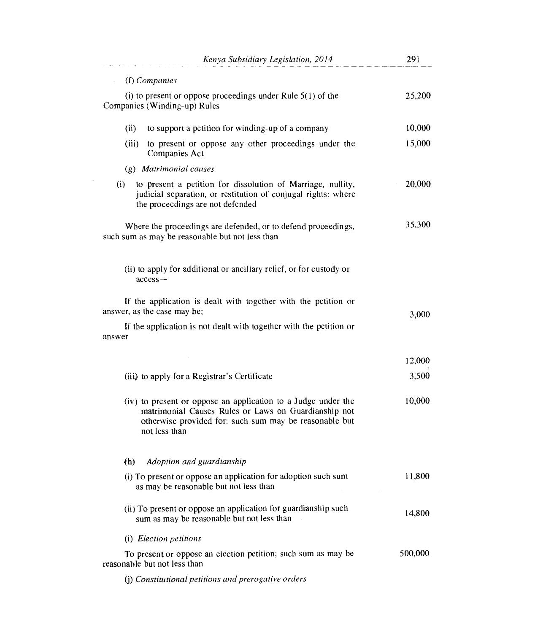| Kenya Subsidiary Legislation, 2014                                                                                                                                                               | 291     |
|--------------------------------------------------------------------------------------------------------------------------------------------------------------------------------------------------|---------|
| (f) Companies                                                                                                                                                                                    |         |
| (i) to present or oppose proceedings under Rule $5(1)$ of the<br>Companies (Winding-up) Rules                                                                                                    | 25,200  |
| to support a petition for winding-up of a company<br>(ii)                                                                                                                                        | 10,000  |
| (iii)<br>to present or oppose any other proceedings under the<br>Companies Act                                                                                                                   | 15,000  |
| (g) Matrimonial causes                                                                                                                                                                           |         |
| to present a petition for dissolution of Marriage, nullity,<br>(i)<br>judicial separation, or restitution of conjugal rights: where<br>the proceedings are not defended                          | 20,000  |
| Where the proceedings are defended, or to defend proceedings,<br>such sum as may be reasonable but not less than                                                                                 | 35,300  |
| (ii) to apply for additional or ancillary relief, or for custody or<br>$access-$                                                                                                                 |         |
| If the application is dealt with together with the petition or<br>answer, as the case may be;                                                                                                    | 3,000   |
| If the application is not dealt with together with the petition or<br>answer                                                                                                                     |         |
|                                                                                                                                                                                                  | 12,000  |
| (iii) to apply for a Registrar's Certificate                                                                                                                                                     | 3,500   |
| (iv) to present or oppose an application to a Judge under the<br>matrimonial Causes Rules or Laws on Guardianship not<br>otherwise provided for: such sum may be reasonable but<br>not less than | 10,000  |
| Adoption and guardianship<br>(h)                                                                                                                                                                 |         |
| (i) To present or oppose an application for adoption such sum<br>as may be reasonable but not less than                                                                                          | 11,800  |
| (ii) To present or oppose an application for guardianship such<br>sum as may be reasonable but not less than                                                                                     | 14,800  |
| (i) Election petitions                                                                                                                                                                           |         |
| To present or oppose an election petition; such sum as may be<br>reasonable but not less than                                                                                                    | 500,000 |
| (j) Constitutional petitions and prerogative orders                                                                                                                                              |         |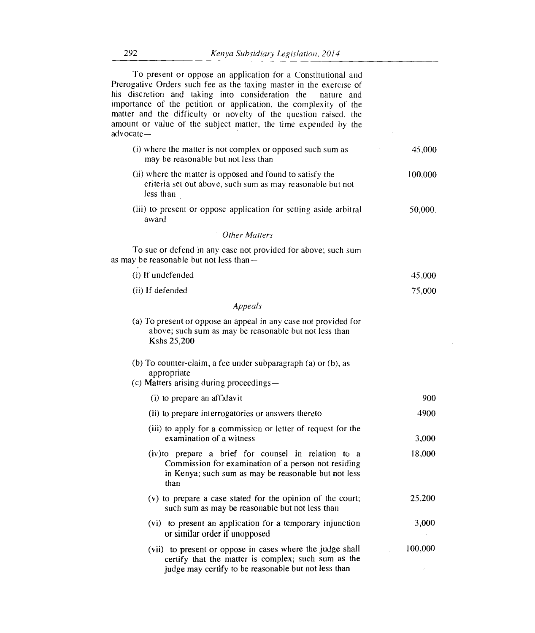| To present or oppose an application for a Constitutional and<br>Prerogative Orders such fee as the taxing master in the exercise of<br>his discretion and taking into consideration the<br>nature and<br>importance of the petition or application, the complexity of the<br>matter and the difficulty or novelty of the question raised, the<br>amount or value of the subject matter, the time expended by the<br>advocate- |         |
|-------------------------------------------------------------------------------------------------------------------------------------------------------------------------------------------------------------------------------------------------------------------------------------------------------------------------------------------------------------------------------------------------------------------------------|---------|
| (i) where the matter is not complex or opposed such sum as<br>may be reasonable but not less than                                                                                                                                                                                                                                                                                                                             | 45,000  |
| (ii) where the matter is opposed and found to satisfy the<br>criteria set out above, such sum as may reasonable but not<br>less than                                                                                                                                                                                                                                                                                          | 100,000 |
| (iii) to present or oppose application for setting aside arbitral<br>award                                                                                                                                                                                                                                                                                                                                                    | 50,000. |
| <b>Other Matters</b>                                                                                                                                                                                                                                                                                                                                                                                                          |         |
| To sue or defend in any case not provided for above; such sum<br>as may be reasonable but not less than-                                                                                                                                                                                                                                                                                                                      |         |
| (i) If undefended                                                                                                                                                                                                                                                                                                                                                                                                             | 45,000  |
| (ii) If defended                                                                                                                                                                                                                                                                                                                                                                                                              | 75,000  |
| Appeals                                                                                                                                                                                                                                                                                                                                                                                                                       |         |
| (a) To present or oppose an appeal in any case not provided for<br>above; such sum as may be reasonable but not less than<br>Kshs 25,200                                                                                                                                                                                                                                                                                      |         |
| (b) To counter-claim, a fee under subparagraph (a) or (b), as<br>appropriate<br>(c) Matters arising during proceedings-                                                                                                                                                                                                                                                                                                       |         |
| (i) to prepare an affidavit                                                                                                                                                                                                                                                                                                                                                                                                   | 900     |
| (ii) to prepare interrogatories or answers thereto                                                                                                                                                                                                                                                                                                                                                                            | 4900    |
| (iii) to apply for a commission or letter of request for the<br>examination of a witness                                                                                                                                                                                                                                                                                                                                      | 3,000   |
| (iv) to prepare a brief for counsel in relation to a<br>Commission for examination of a person not residing<br>in Kenya; such sum as may be reasonable but not less<br>than                                                                                                                                                                                                                                                   | 18,000  |
| (v) to prepare a case stated for the opinion of the court;<br>such sum as may be reasonable but not less than                                                                                                                                                                                                                                                                                                                 | 25,200  |
| (vi) to present an application for a temporary injunction<br>or similar order if unopposed                                                                                                                                                                                                                                                                                                                                    | 3,000   |
| (vii) to present or oppose in cases where the judge shall<br>certify that the matter is complex; such sum as the                                                                                                                                                                                                                                                                                                              | 100,000 |

judge may certify to be reasonable but not less than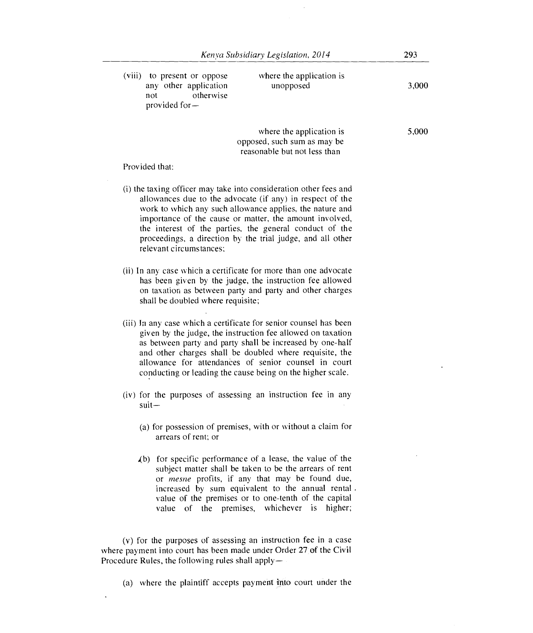| (viii)<br>to present or oppose<br>any other application<br>otherwise<br>not<br>provided for $-$ | where the application is<br>unopposed | 3,000 |
|-------------------------------------------------------------------------------------------------|---------------------------------------|-------|
|                                                                                                 | where the application is              | 5,000 |

opposed, such sum as may be reasonable but not less than

Provided that:

- (i) the taxing officer may take into consideration other fees and allowances due to the advocate (if any) in respect of the work to which any such allowance applies, the nature and importance of the cause or matter, the amount involved, the interest of the parties, the general conduct of the proceedings, a direction by the trial judge, and all other relevant circumstances;
- (ii) In any case which a certificate for more than one advocate has been given by the judge, the instruction fee allowed on taxation as between party and party and other charges shall be doubled where requisite;
- (iii) In any case which a certificate for senior counsel has been given by the judge, the instruction fee allowed on taxation as between party and party shall be increased by one-half and other charges shall be doubled where requisite, the allowance for attendances of senior counsel in court conducting or leading the cause being on the higher scale.
- (iv) for the purposes of assessing an instruction fee in any suit—
	- (a) for possession of premises, with or without a claim for arrears of rent; or
	- .(b) for specific performance of a lease, the value of the subject matter shall be taken to be the arrears of rent or *tnesne* profits, if any that may be found due, increased by sum equivalent to the annual rental . value of the premises or to one-tenth of the capital value of the premises, whichever is higher;

(v) for the purposes of assessing an instruction fee in a case where payment into court has been made under Order 27 of the Civil Procedure Rules, the following rules shall apply—

(a) where the plaintiff accepts payment into court under the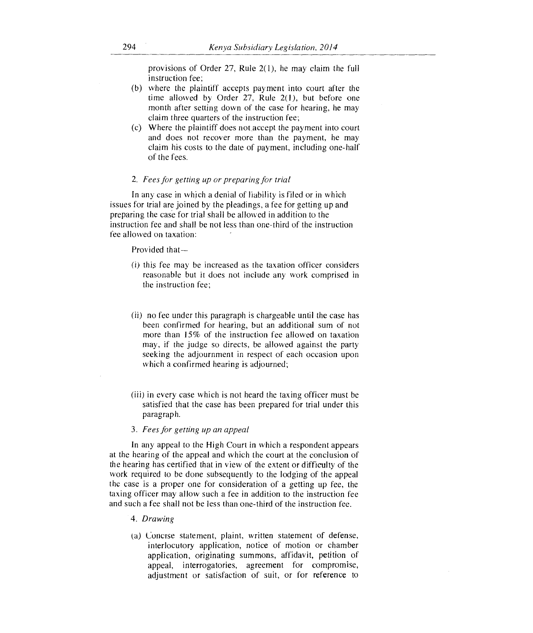provisions of Order 27, Rule 2(1), he may claim the full instruction fee;

- (b) where the plaintiff accepts payment into court after the time allowed by Order 27, Rule 2(1), but before one month after setting down of the case for hearing, he may claim three quarters of the instruction fee;
- (c) Where the plaintiff does not accept the payment into court and does not recover more than the payment, he may claim his costs to the date of payment, including one-half of the fees.

### 2. *Fees for getting up or preparing for trial*

In any case in which a denial of liability is filed or in which issues for trial are joined by the pleadings, a fee for getting up and preparing the case for trial shall be allowed in addition to the instruction fee and shall be not less than one-third of the instruction fee allowed on taxation:

### Provided that-

- (i) this fee may be increased as the taxation officer considers reasonable but it does not include any work comprised in the instruction fee;
- (ii) no fee under this paragraph is chargeable until the case has been confirmed for hearing, but an additional sum of not more than 15% of the instruction fee allowed on taxation may, if the judge so directs, be allowed against the party seeking the adjournment in respect of each occasion upon which a confirmed hearing is adjourned;
- (iii) in every case which is not heard the taxing officer must be satisfied that the case has been prepared for trial under this paragraph.
- 3. *Fees for getting up an appeal*

In any appeal to the High Court in which a respondent appears at the hearing of the appeal and which the court at the conclusion of the hearing has certified that in view of the extent or difficulty of the work required to be done subsequently to the lodging of the appeal the case is a proper one for consideration of a getting up fee, the taxing officer may allow such a fee in addition to the instruction fee and such a fee shall not be less than one-third of the instruction fee.

# 4. *Drawing*

(a) Concise statement, plaint, written statement of defense, interlocutory application, notice of motion or chamber application, originating summons, affidavit, petition of appeal, interrogatories, agreement for compromise, adjustment or satisfaction of suit, or for reference to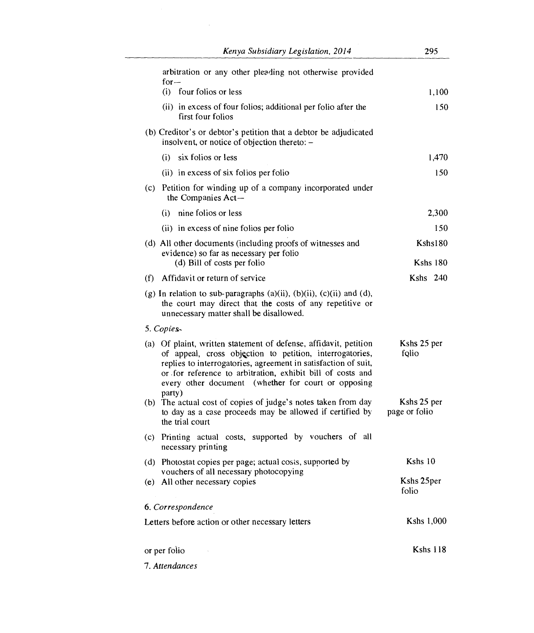| Kenya Subsidiary Legislation, 2014                                                                                                                                                                                                                                                                                            | 295                          |
|-------------------------------------------------------------------------------------------------------------------------------------------------------------------------------------------------------------------------------------------------------------------------------------------------------------------------------|------------------------------|
| arbitration or any other pleading not otherwise provided<br>for $-$                                                                                                                                                                                                                                                           |                              |
| (i) four folios or less                                                                                                                                                                                                                                                                                                       | 1,100                        |
| (ii) in excess of four folios; additional per folio after the<br>first four folios                                                                                                                                                                                                                                            | 150                          |
| (b) Creditor's or debtor's petition that a debtor be adjudicated<br>insolvent, or notice of objection thereto: -                                                                                                                                                                                                              |                              |
| (i) six folios or less                                                                                                                                                                                                                                                                                                        | 1,470                        |
| (ii) in excess of six folios per folio                                                                                                                                                                                                                                                                                        | 150                          |
| (c) Petition for winding up of a company incorporated under<br>the Companies Act-                                                                                                                                                                                                                                             |                              |
| nine folios or less<br>(i)                                                                                                                                                                                                                                                                                                    | 2,300                        |
| (ii) in excess of nine folios per folio                                                                                                                                                                                                                                                                                       | 150                          |
| (d) All other documents (including proofs of witnesses and                                                                                                                                                                                                                                                                    | Kshs180                      |
| evidence) so far as necessary per folio<br>(d) Bill of costs per folio                                                                                                                                                                                                                                                        | <b>Kshs 180</b>              |
| Affidavit or return of service<br>(f)                                                                                                                                                                                                                                                                                         | $Kshs$ 240                   |
| (g) In relation to sub-paragraphs $(a)(ii)$ , $(b)(ii)$ , $(c)(ii)$ and $(d)$ ,<br>the court may direct that the costs of any repetitive or<br>unnecessary matter shall be disallowed.                                                                                                                                        |                              |
| 5. Copies.                                                                                                                                                                                                                                                                                                                    |                              |
| (a) Of plaint, written statement of defense, affidavit, petition<br>of appeal, cross objection to petition, interrogatories,<br>replies to interrogatories, agreement in satisfaction of suit,<br>or for reference to arbitration, exhibit bill of costs and<br>every other document (whether for court or opposing<br>party) | Kshs 25 per<br>folio         |
| (b) The actual cost of copies of judge's notes taken from day<br>to day as a case proceeds may be allowed if certified by<br>the trial court                                                                                                                                                                                  | Kshs 25 per<br>page or folio |
| (c) Printing actual costs, supported by vouchers of all<br>necessary printing                                                                                                                                                                                                                                                 |                              |
| (d) Photostat copies per page; actual costs, supported by                                                                                                                                                                                                                                                                     | Kshs 10                      |
| vouchers of all necessary photocopying<br>(e) All other necessary copies                                                                                                                                                                                                                                                      | Kshs 25per<br>folio          |
| 6. Correspondence                                                                                                                                                                                                                                                                                                             |                              |
| Letters before action or other necessary letters                                                                                                                                                                                                                                                                              | Kshs 1,000                   |
| or per folio                                                                                                                                                                                                                                                                                                                  | <b>Kshs 118</b>              |
| 7. Attendances                                                                                                                                                                                                                                                                                                                |                              |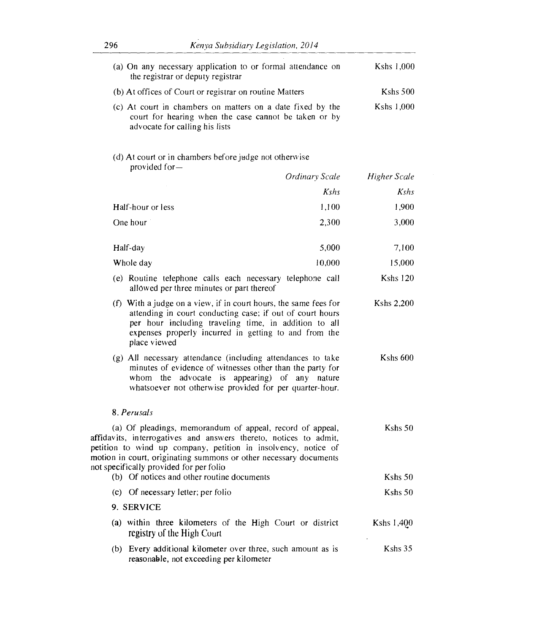| Kshs 1,000      | (a) On any necessary application to or formal attendance on<br>the registrar or deputy registrar                                                                                                                                                                                                                 |  |
|-----------------|------------------------------------------------------------------------------------------------------------------------------------------------------------------------------------------------------------------------------------------------------------------------------------------------------------------|--|
| Kshs 500        | (b) At offices of Court or registrar on routine Matters                                                                                                                                                                                                                                                          |  |
| Kshs $1,000$    | (c) At court in chambers on matters on a date fixed by the<br>court for hearing when the case cannot be taken or by<br>advocate for calling his lists                                                                                                                                                            |  |
|                 | (d) At court or in chambers before judge not otherwise<br>provided for-                                                                                                                                                                                                                                          |  |
| Higher Scale    | Ordinary Scale                                                                                                                                                                                                                                                                                                   |  |
| Kshs            | Kshs                                                                                                                                                                                                                                                                                                             |  |
| 1,900           | 1,100<br>Half-hour or less                                                                                                                                                                                                                                                                                       |  |
| 3,000           | One hour<br>2,300                                                                                                                                                                                                                                                                                                |  |
| 7,100           | 5,000<br>Half-day                                                                                                                                                                                                                                                                                                |  |
| 15,000          | 10,000<br>Whole day                                                                                                                                                                                                                                                                                              |  |
| <b>Kshs 120</b> | (e) Routine telephone calls each necessary telephone call<br>allowed per three minutes or part thereof                                                                                                                                                                                                           |  |
| Kshs 2,200      | (f) With a judge on a view, if in court hours, the same fees for<br>attending in court conducting case; if out of court hours<br>per hour including traveling time, in addition to all<br>expenses properly incurred in getting to and from the<br>place viewed                                                  |  |
| Kshs 600        | (g) All necessary attendance (including attendances to take<br>minutes of evidence of witnesses other than the party for<br>whom the advocate is appearing) of any nature<br>whatsoever not otherwise provided for per quarter-hour.                                                                             |  |
|                 | 8. Perusals                                                                                                                                                                                                                                                                                                      |  |
| Kshs 50         | (a) Of pleadings, memorandum of appeal, record of appeal,<br>affidavits, interrogatives and answers thereto, notices to admit,<br>petition to wind up company, petition in insolvency, notice of<br>motion in court, originating summons or other necessary documents<br>not specifically provided for per folio |  |
| Kshs 50         | (b) Of notices and other routine documents                                                                                                                                                                                                                                                                       |  |
| Kshs 50         | (c) Of necessary letter; per folio                                                                                                                                                                                                                                                                               |  |
|                 | 9. SERVICE                                                                                                                                                                                                                                                                                                       |  |
| Kshs 1,400      | (a) within three kilometers of the High Court or district<br>registry of the High Court                                                                                                                                                                                                                          |  |
| Kshs 35         | (b) Every additional kilometer over three, such amount as is<br>reasonable, not exceeding per kilometer                                                                                                                                                                                                          |  |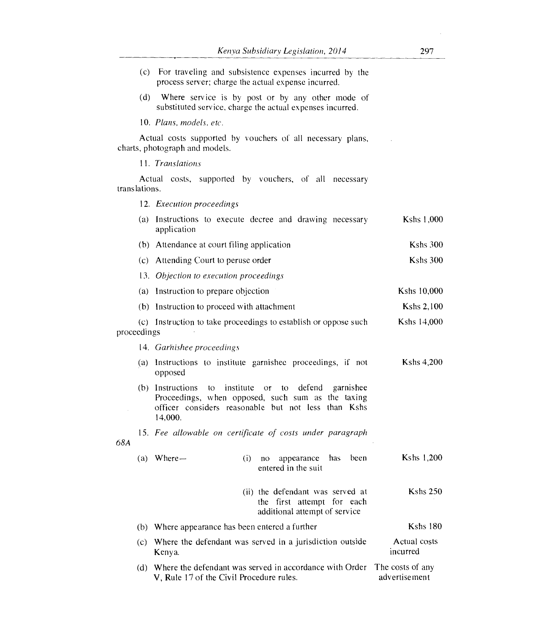- (c) For traveling and subsistence expenses incurred by the process server; charge the actual expense incurred.
- (d) Where service is by post or by any other mode of substituted service, charge the actual expenses incurred.

*10. Plans, models, etc.* 

Actual costs supported by vouchers of all necessary plans, charts, photograph and models.

*11. Translations* 

Actual costs, supported by vouchers, of all necessary translations.

12. *Execution proceedings* 

|             | (a) Instructions to execute decree and drawing necessary<br>application                                                                                                                                | Kshs 1,000                        |
|-------------|--------------------------------------------------------------------------------------------------------------------------------------------------------------------------------------------------------|-----------------------------------|
|             | (b) Attendance at court filing application                                                                                                                                                             | <b>Kshs 300</b>                   |
|             | (c) Attending Court to peruse order                                                                                                                                                                    | Kshs 300                          |
|             | 13. Objection to execution proceedings                                                                                                                                                                 |                                   |
|             | (a) Instruction to prepare objection                                                                                                                                                                   | Kshs 10,000                       |
|             | (b) Instruction to proceed with attachment                                                                                                                                                             | Kshs 2,100                        |
| proceedings | (c) Instruction to take proceedings to establish or oppose such                                                                                                                                        | Kshs 14,000                       |
|             | 14. Garnishee proceedings                                                                                                                                                                              |                                   |
|             | (a) Instructions to institute garnishee proceedings, if not<br>opposed                                                                                                                                 | Kshs 4,200                        |
|             | (b) Instructions<br>institute<br>defend<br>$\mathfrak{g}$<br>or to<br>garnishee<br>Proceedings, when opposed, such sum as the taxing<br>officer considers reasonable but not less than Kshs<br>14,000. |                                   |
| 68A         | 15. Fee allowable on certificate of costs under paragraph                                                                                                                                              |                                   |
|             | $(a)$ Where $-$<br>has<br>been<br>(i)<br>appearance<br>no<br>entered in the suit                                                                                                                       | Kshs 1,200                        |
|             | (ii) the defendant was served at<br>the first attempt for each<br>additional attempt of service                                                                                                        | <b>Kshs 250</b>                   |
|             | (b) Where appearance has been entered a further                                                                                                                                                        | <b>Kshs 180</b>                   |
|             | (c) Where the defendant was served in a jurisdiction outside<br>Kenya.                                                                                                                                 | Actual costs<br>incurred          |
|             | (d) Where the defendant was served in accordance with Order<br>V, Rule 17 of the Civil Procedure rules.                                                                                                | The costs of any<br>advertisement |

 $\sim$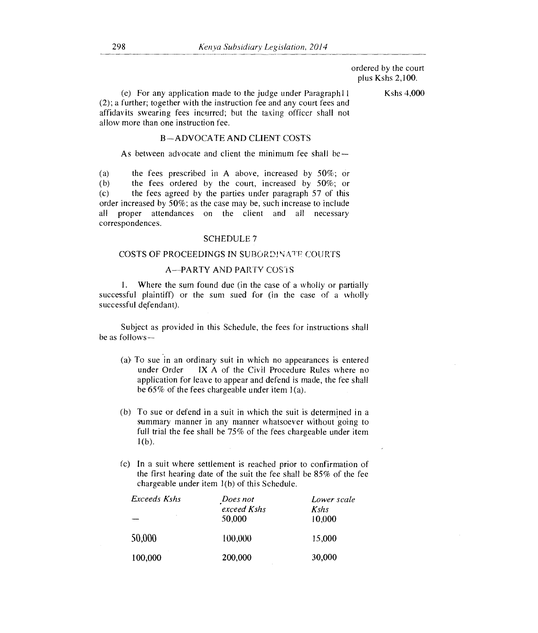ordered by the court plus Kshs 2,100.

(e) For any application made to the judge under Paragraph  $11$  Kshs 4,000 (2); a further; together with the instruction fee and any court fees and affidavits swearing fees incurred; but the taxing officer shall not allow more than one instruction fee.

### B—ADVOCATE AND CLIENT COSTS

As between advocate and client the minimum fee shall be—

(a) the fees prescribed in A above, increased by  $50\%$ ; or (b) the fees ordered by the court, increased by  $50\%$ ; or (b) the fees ordered by the court, increased by  $50\%$ ; or (c) the fees agreed by the parties under paragraph 57 of this the fees agreed by the parties under paragraph 57 of this order increased by 50%; as the case may be, such increase to include all proper attendances on the client and all necessary correspondences.

### SCHEDULE 7

### COSTS OF PROCEEDINGS IN SUBORDINATE COURTS

# A—PARTY AND PARTY COSTS

1. Where the sum found due (in the case of a wholly or partially successful plaintiff) or the sum sued for (in the case of a wholly successful defendant).

Subject as provided in this Schedule, the fees for instructions shall be as follows—

- (a) To sue in an ordinary suit in which no appearances is entered under Order  $\parallel$  IX A of the Civil Procedure Rules where no IX A of the Civil Procedure Rules where no application for leave to appear and defend is made, the fee shall be 65% of the fees chargeable under item 1(a).
- (b) To sue or defend in a suit in which the suit is determined in a summary manner in any manner whatsoever without going to full trial the fee shall he 75% of the fees chargeable under item  $1(b)$ .
- (c) In a suit where settlement is reached prior to confirmation of the first hearing date of the suit the fee shall be 85% of the fee chargeable under item 1(b) of this Schedule.

| Exceeds Kshs | Does not    | Lower scale |
|--------------|-------------|-------------|
|              | exceed Kshs | Kshs        |
| ٠            | 50,000      | 10,000      |
| 50,000       | 100,000     | 15,000      |
| 100,000      | 200,000     | 30,000      |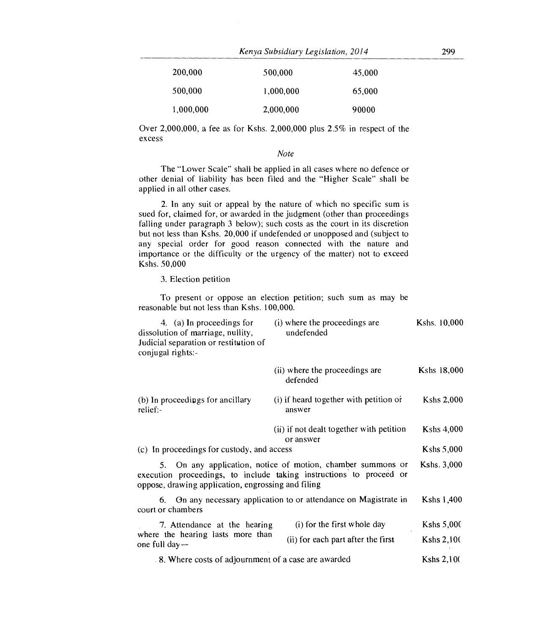| Kenya Subsidiary Legislation, 2014 |  | 299 |
|------------------------------------|--|-----|
|------------------------------------|--|-----|

| 200,000   | 500,000   | 45,000 |
|-----------|-----------|--------|
| 500.000   | 1,000,000 | 65,000 |
| 1,000,000 | 2,000,000 | 90000  |

Over 2,000,000, a fee as for Kshs. 2,000,000 plus 2.5% in respect of the excess

*Note* 

The "Lower Scale" shall be applied in all cases where no defence or other denial of liability has been filed and the "Higher Scale" shall be applied in all other cases.

2. In any suit or appeal by the nature of which no specific sum is sued for, claimed for, or awarded in the judgment (other than proceedings falling under paragraph 3 below); such costs as the court in its discretion but not less than Kshs. 20,000 if undefended or unopposed and (subject to any special order for good reason connected with the nature and importance or the difficulty or the urgency of the matter) not to exceed Kshs. 50,000

3. Election petition

To present or oppose an election petition; such sum as may be reasonable but not less than Kshs. 100,000.

| 4. (a) In proceedings for<br>dissolution of marriage, nullity,<br>Judicial separation or restitution of<br>conjugal rights:- | (i) where the proceedings are<br>undefended                                                                                        | Kshs. 10,000      |
|------------------------------------------------------------------------------------------------------------------------------|------------------------------------------------------------------------------------------------------------------------------------|-------------------|
|                                                                                                                              | (ii) where the proceedings are<br>defended                                                                                         | Kshs 18,000       |
| (b) In proceedings for ancillary<br>relief:-                                                                                 | (i) if heard together with petition or<br>answer                                                                                   | <b>Kshs 2,000</b> |
|                                                                                                                              | (ii) if not dealt together with petition<br>or answer                                                                              | <b>Kshs 4,000</b> |
| (c) In proceedings for custody, and access                                                                                   |                                                                                                                                    | Kshs 5,000        |
| oppose, drawing application, engrossing and filing                                                                           | 5. On any application, notice of motion, chamber summons or<br>execution proceedings, to include taking instructions to proceed or | Kshs. 3,000       |
| court or chambers                                                                                                            | 6. On any necessary application to or attendance on Magistrate in                                                                  | Kshs 1,400        |
| 7. Attendance at the hearing                                                                                                 | (i) for the first whole day                                                                                                        | Kshs 5,000        |
| where the hearing lasts more than<br>one full day—                                                                           | (ii) for each part after the first                                                                                                 | <b>Kshs 2,100</b> |
| 8. Where costs of adjournment of a case are awarded                                                                          |                                                                                                                                    | Kshs 2,100        |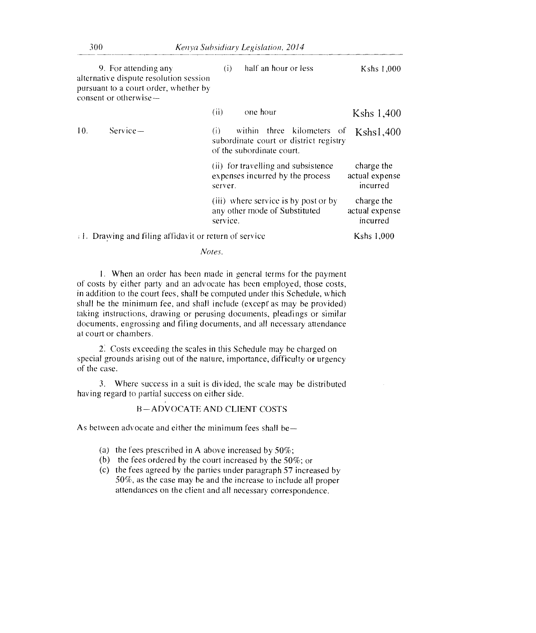|     | 9. For attending any<br>alternative dispute resolution session<br>pursuant to a court order, whether by<br>consent or otherwise- | half an hour or less<br>(i)                                                                              | Kshs 1,000                               |
|-----|----------------------------------------------------------------------------------------------------------------------------------|----------------------------------------------------------------------------------------------------------|------------------------------------------|
|     |                                                                                                                                  | one hour<br>(ii)                                                                                         | Kshs 1,400                               |
| 10. | $Service-$                                                                                                                       | within three kilometers of<br>(i)<br>subordinate court or district registry<br>of the subordinate court. | Kshs1,400                                |
|     |                                                                                                                                  | (ii) for travelling and subsistence<br>expenses incurred by the process<br>server.                       | charge the<br>actual expense<br>incurred |
|     |                                                                                                                                  | (iii) where service is by post or by<br>any other mode of Substituted<br>service.                        | charge the<br>actual expense<br>incurred |
|     | 1. Drawing and filing affidavit or return of service                                                                             |                                                                                                          | Kshs 1,000                               |

*Notes.* 

I. When an order has been made in general terms for the payment of costs by either party and an advocate has been employed, those costs, in addition to the court fees, shall be computed under this Schedule, which shall be the minimum fee, and shall include (except as may be provided) taking instructions, drawing or perusing documents, pleadings or similar documents, engrossing and filing documents, and all necessary attendance at court or chambers.

2. Costs exceeding the scales in this Schedule may be charged on special grounds arising out of the nature, importance, difficulty or urgency of the case.

3. Where success in a suit is divided, the scale may be distributed having regard to partial success on either side.

# B—ADVOCATE AND CLIENT COSTS

As between advocate and either the minimum fees shall be—

- (a) the fees prescribed in A above increased by  $50\%$ ;
- (b) the fees ordered by the court increased by the 50%; or
- (c) the fees agreed by the parties under paragraph 57 increased by 50%, as the case may be and the increase to include all proper attendances on the client and all necessary correspondence.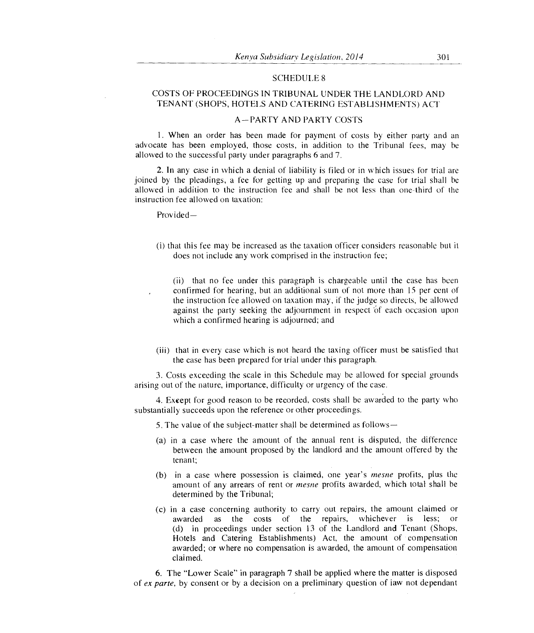### SCHEDULE 8

# COSTS OF PROCEEDINGS IN TRIBUNAL UNDER THE LANDLORD AND TENANT (SHOPS, HOTELS AND CATERING ESTABLISHMENTS) ACT

### A—PARTY AND PARTY COSTS

1. When an order has been made for payment of costs by either party and an advocate has been employed, those costs, in addition to the Tribunal fees, may be allowed to the successful party under paragraphs 6 and 7.

2. In any case in which a denial of liability is filed or in which issues for trial are joined by the pleadings, a fee for getting up and preparing the case for trial shall he allowed in addition to the instruction fee and shall be not less than one-third of the instruction fee allowed on taxation:

Provided-

(i) that this fee may be increased as the taxation officer considers reasonable but it does not include any work comprised in the instruction fee;

(ii) that no fee under this paragraph is chargeable until the case has been confirmed for hearing, but an additional sum of not more than 15 per cent of the instruction fee allowed on taxation may, if the judge so directs, be allowed against the party seeking the adjournment in respect of each occasion upon which a confirmed hearing is adjourned; and

(iii) that in every case which is not heard the taxing officer must be satisfied that the case has been prepared for trial under this paragraph.

3. Costs exceeding the scale in this Schedule may be allowed for special grounds arising out of the nature, importance, difficulty or urgency of the case.

4. Except for good reason to be recorded, costs shall be awarded to the party who substantially succeeds upon the reference or other proceedings.

5. The value of the subject-matter shall be determined as follows—

- (a) in a case where the amount of the annual rent is disputed, the difference between the amount proposed by the landlord and the amount offered by the tenant;
- (b) in a case where possession is claimed, one year's *mesne* profits, plus the amount of any arrears of rent or *mesne* profits awarded, which total shall be determined by the Tribunal;
- (c) in a case concerning authority to carry out repairs, the amount claimed or awarded as the costs of the repairs, whichever is less; or (d) in proceedings under section 13 of the Landlord and Tenant (Shops, Hotels and Catering Establishments) Act, the amount of compensation awarded; or where no compensation is awarded, the amount of compensation claimed.

6. The "Lower Scale" in paragraph 7 shall be applied where the matter is disposed of *ex parte,* by consent or by a decision on a preliminary question of iaw not dependant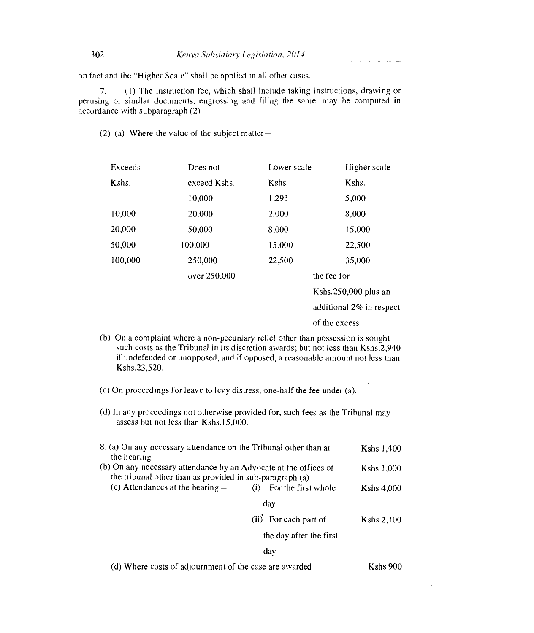on fact and the "Higher Scale" shall be applied in all other cases.

7. (1) The instruction fee, which shall include taking instructions, drawing or perusing or similar documents, engrossing and filing the same, may be computed in accordance with subparagraph (2)

(2) (a) Where the value of the subject matter—

| Exceeds | Does not     | Lower scale | Higher scale             |
|---------|--------------|-------------|--------------------------|
| Kshs.   | exceed Kshs. | Kshs.       | Kshs.                    |
|         | 10,000       | 1,293       | 5,000                    |
| 10,000  | 20,000       | 2,000       | 8,000                    |
| 20,000  | 50,000       | 8,000       | 15,000                   |
| 50,000  | 100,000      | 15,000      | 22,500                   |
| 100,000 | 250,000      | 22,500      | 35,000                   |
|         | over 250,000 |             | the fee for              |
|         |              |             | Kshs. $250,000$ plus an  |
|         |              |             | additional 2% in respect |

of the excess

- (b) On a complaint where a non-pecuniary relief other than possession is sought such costs as the Tribunal in its discretion awards; but not less than Kshs.2,940 if undefended or unopposed, and if opposed, a reasonable amount not less than Kshs.23,520.
- (c) On proceedings for leave to levy distress, one-half the fee under (a).
- (d) In any proceedings not otherwise provided for, such fees as the Tribunal may assess but not less than Kshs.15,000.

| 8. (a) On any necessary attendance on the Tribunal other than at<br>the hearing                                              |                         | Kshs 1,400        |
|------------------------------------------------------------------------------------------------------------------------------|-------------------------|-------------------|
| (b) On any necessary attendance by an Advocate at the offices of<br>the tribunal other than as provided in sub-paragraph (a) |                         | Kshs 1,000        |
| (c) Attendances at the hearing $-$                                                                                           | (i) For the first whole | Kshs $4,000$      |
|                                                                                                                              | day                     |                   |
|                                                                                                                              | (ii) For each part of   | <b>Kshs 2,100</b> |
|                                                                                                                              | the day after the first |                   |
|                                                                                                                              | day                     |                   |

(d) Where costs of adjournment of the case are awarded Kshs 900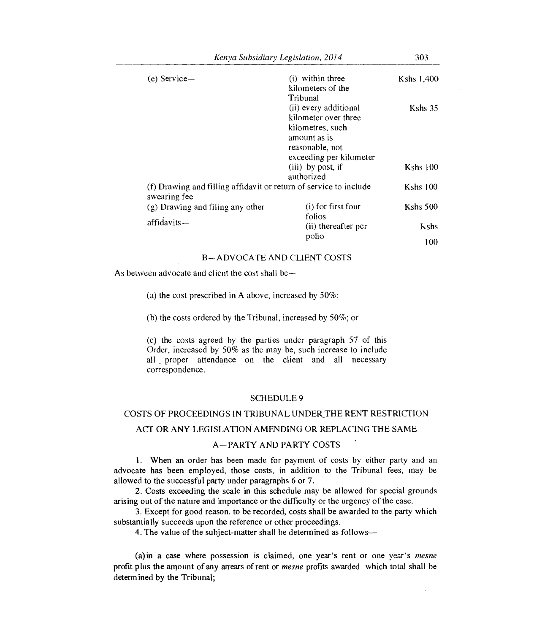| Kenya Subsidiary Legislation, 2014                                                |                                                                                                                                 | 303        |
|-----------------------------------------------------------------------------------|---------------------------------------------------------------------------------------------------------------------------------|------------|
| $(e)$ Service—                                                                    | $(i)$ within three<br>kilometers of the<br>Tribunal                                                                             | Kshs 1,400 |
|                                                                                   | (ii) every additional<br>kilometer over three<br>kilometres, such<br>amount as is<br>reasonable, not<br>exceeding per kilometer | Kshs 35    |
|                                                                                   | (iii) by post, if<br>authorized                                                                                                 | $Kshs$ 100 |
| (f) Drawing and filling affidavit or return of service to include<br>swearing fee |                                                                                                                                 | Kshs $100$ |
| (g) Drawing and filing any other                                                  | (i) for first four<br>folios                                                                                                    | Kshs 500   |
| $affidavits -$                                                                    | (ii) thereafter per                                                                                                             | Kshs       |
|                                                                                   | polio                                                                                                                           | 100        |

## B—ADVOCATE AND CLIENT COSTS

As between advocate and client the cost shall be—

(a) the cost prescribed in A above, increased by 50%;

(b) the costs ordered by the Tribunal, increased by 50%; or

(c) the costs agreed by the parties under paragraph 57 of this Order, increased by 50% as the may be, such increase to include all proper attendance on the client and all necessary correspondence.

# SCHEDULE 9

# COSTS OF PROCEEDINGS IN TRIBUNAL UNDER THE RENT RESTRICTION

## ACT OR ANY LEGISLATION AMENDING OR REPLACING THE SAME

# A—PARTY AND PARTY COSTS

1. When an order has been made for payment of costs by either party and an advocate has been employed, those costs, in addition to the Tribunal fees, may be allowed to the successful party under paragraphs 6 or 7.

2. Costs exceeding the scale in this schedule may be allowed for special grounds arising out of the nature and importance or the difficulty or the urgency of the case.

3. Except for good reason, to be recorded, costs shall be awarded to the party which substantially succeeds upon the reference or other proceedings.

4. The value of the subject-matter shall be determined as follows-

(a)in a case where possession is claimed, one year's rent or one year's *mesne*  profit plus the amount of any arrears of rent or *mesne* profits awarded which total shall be determined by the Tribunal;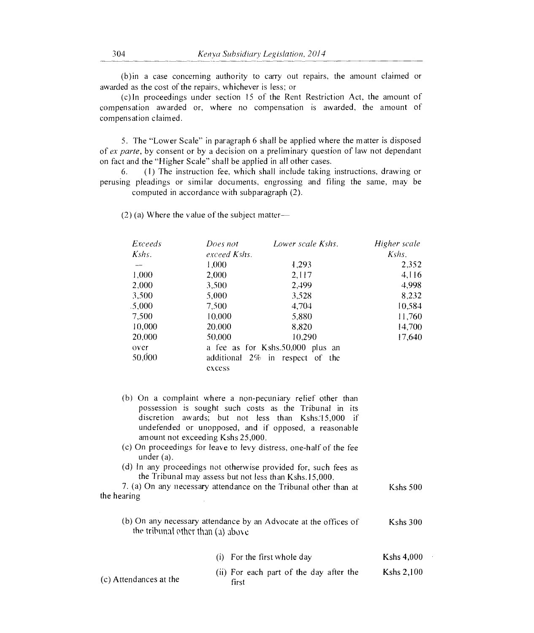(b)in a case concerning authority to carry out repairs, the am ount claimed or awarded as the cost of the repairs, whichever is less; or

(c)In proceedings under section 15 of the Rent Restriction Act , the amount of compensation awarded or, where no compensation is awarded, the amount of compensation claimed.

5. The "Lower Scale" in paragraph 6 shall be applied where the matter is disposed of *ex parte,* by consent or by a decision on a preliminary question of law not dependant on fact and the "Higher Scale" shall be applied in all other cases.

6. (1) The instruction fee, which shall include taking instructions, drawing or perusing pleadings or similar documents, engrossing and filing the same, may be computed in accordance with subparagraph (2).

(2) (a) Where the value of the subject matter

| Exceeds | Does not     | Lower scale Kshs.                  | Higher scale |
|---------|--------------|------------------------------------|--------------|
| Kshs.   | exceed Kshs. |                                    | $Kshs$ .     |
|         | 1.000        | 1.293                              | 2,352        |
| 1,000   | 2,000        | 2.117                              | 4,116        |
| 2,000   | 3,500        | 2,499                              | 4,998        |
| 3,500   | 5,000        | 3,528                              | 8,232        |
| .5,000  | 7.500        | 4.704                              | 10,584       |
| 7,500   | 10,000       | 5,880                              | 11,760       |
| 10,000  | 20,000       | 8,820                              | 14,700       |
| 20,000  | 50,000       | 10.290                             | 17,640       |
| over    |              | a fee as for Kshs.50,000 plus an   |              |
| 50,000  |              | additional $2\%$ in respect of the |              |
|         | excess       |                                    |              |

- (b) On a complaint where a non-pecuniary relief other than possession is sought such costs as the Tribunal in its discretion awards; but not less than Kshs:15,000 if undefended or unopposed, and if opposed, a reasonable amount not exceeding Kshs 25,000.
- (c) On proceedings for leave to levy distress, one-half of the fee under (a).
- (d) In any proceedings not otherwise provided for, such fees as the Tribunal may assess but not less than Kshs.15,000.

7. (a) On any necessary attendance on the Tribunal other than at the hearing Kshs 500

(b) On any necessary attendance by an Advocate at the offices of Kshs 300 the trihnnal other than (a) above

|                        | (i) For the first whole day                      | Kshs $4,000$ |
|------------------------|--------------------------------------------------|--------------|
| (c) Attendances at the | (ii) For each part of the day after the<br>first | Kshs 2,100   |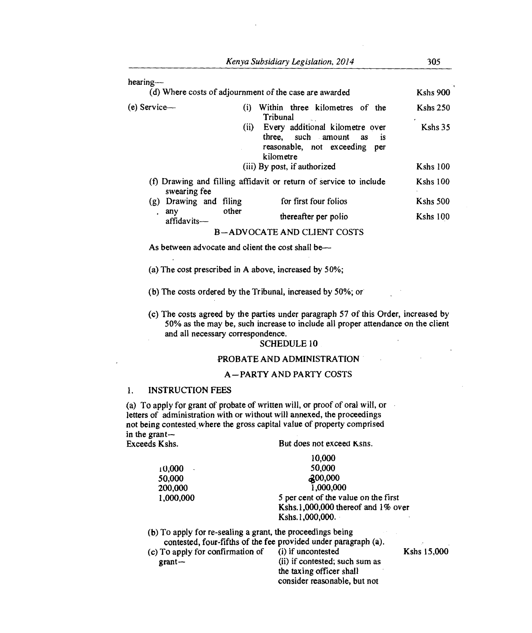| $hearing--$               |                   | (d) Where costs of adjournment of the case are awarded                                                                         | Kshs 900             |
|---------------------------|-------------------|--------------------------------------------------------------------------------------------------------------------------------|----------------------|
| $(e)$ Service—            | $\left( i\right)$ | Within three kilometres of the<br>Tribunal                                                                                     | <b>Kshs 250</b><br>٠ |
|                           |                   | (ii) Every additional kilometre over<br>three, such amount as<br>$\overline{15}$<br>reasonable, not exceeding per<br>kilometre | Kshs 35              |
|                           |                   | (iii) By post, if authorized                                                                                                   | <b>Kshs 100</b>      |
| swearing fee              |                   | (f) Drawing and filling affidavit or return of service to include                                                              | Kshs 100             |
| Drawing and filing<br>(g) |                   | for first four folios                                                                                                          | <b>Kshs 500</b>      |
| any                       | other             | thereafter per polio                                                                                                           | $Kshs$ 100           |

affidavits— B —ADVOCATE AND CLIENT COSTS

As between advocate and client the cost shall be—

(a) The cost prescribed in A above, increased by 50%;

(b) The costs ordered by the Tribunal, increased by 50%; or

(c) The costs agreed by the parties under paragraph 57 of this Order, increased by 50% as the may be, such increase to include all proper attendance on the client and all necessary correspondence.

### SCHEDULE 10

# PROBATE AND ADMINISTRATION

### A—PARTY AND PARTY COSTS

# 1. INSTRUCTION FEES

(a) To apply for grant of probate of written will, or proof of oral will, or letters of administration with or without will annexed, the proceedings not being contested, *where* the gross capital value of property comprised in the grant—<br>Exceeds Kshs.

But does not exceed Kshs.

| 10.000                                                          |                                                            |
|-----------------------------------------------------------------|------------------------------------------------------------|
| 50,000                                                          |                                                            |
| 2,00,000                                                        |                                                            |
| 1,000,000                                                       |                                                            |
| 5 per cent of the value on the first                            |                                                            |
| Kshs.1,000,000 thereof and $1\%$ over                           |                                                            |
| Kshs.1,000,000.                                                 |                                                            |
|                                                                 |                                                            |
| contested, four-fifths of the fee provided under paragraph (a). |                                                            |
| (c) To apply for confirmation of (i) if uncontested             | Kshs 15,000                                                |
| (ii) if contested; such sum as                                  |                                                            |
| the taxing officer shall                                        |                                                            |
|                                                                 | (b) To apply for re-sealing a grant, the proceedings being |

consider reasonable, but not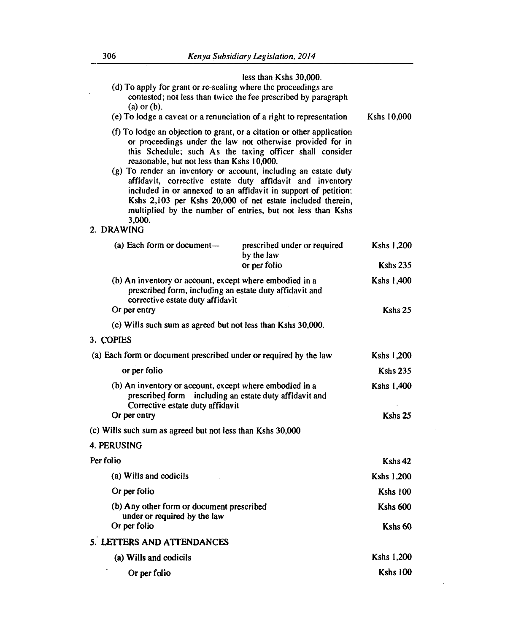|              | $(a)$ or $(b)$ .                                                                                                                                       | less than Kshs 30,000.<br>(d) To apply for grant or re-sealing where the proceedings are<br>contested; not less than twice the fee prescribed by paragraph                                                                                                                                                                                                                                                                                                                                                                      |                 |
|--------------|--------------------------------------------------------------------------------------------------------------------------------------------------------|---------------------------------------------------------------------------------------------------------------------------------------------------------------------------------------------------------------------------------------------------------------------------------------------------------------------------------------------------------------------------------------------------------------------------------------------------------------------------------------------------------------------------------|-----------------|
|              |                                                                                                                                                        | (e) To lodge a caveat or a renunciation of a right to representation                                                                                                                                                                                                                                                                                                                                                                                                                                                            | Kshs 10,000     |
| 2. DRAWING   | reasonable, but not less than Kshs 10,000.<br>3,000.                                                                                                   | (f) To lodge an objection to grant, or a citation or other application<br>or proceedings under the law not otherwise provided for in<br>this Schedule; such As the taxing officer shall consider<br>(g) To render an inventory or account, including an estate duty<br>affidavit, corrective estate duty affidavit and inventory<br>included in or annexed to an affidavit in support of petition:<br>Kshs 2,103 per Kshs 20,000 of net estate included therein,<br>multiplied by the number of entries, but not less than Kshs |                 |
|              | (a) Each form or document-                                                                                                                             | prescribed under or required<br>by the law                                                                                                                                                                                                                                                                                                                                                                                                                                                                                      | Kshs 1,200      |
|              |                                                                                                                                                        | or per folio                                                                                                                                                                                                                                                                                                                                                                                                                                                                                                                    | <b>Kshs 235</b> |
|              | (b) An inventory or account, except where embodied in a<br>prescribed form, including an estate duty affidavit and<br>corrective estate duty affidavit |                                                                                                                                                                                                                                                                                                                                                                                                                                                                                                                                 | Kshs 1,400      |
| Or per entry |                                                                                                                                                        |                                                                                                                                                                                                                                                                                                                                                                                                                                                                                                                                 | Kshs 25         |
|              | (c) Wills such sum as agreed but not less than Kshs 30,000.                                                                                            |                                                                                                                                                                                                                                                                                                                                                                                                                                                                                                                                 |                 |
| 3. COPIES    |                                                                                                                                                        |                                                                                                                                                                                                                                                                                                                                                                                                                                                                                                                                 |                 |
|              |                                                                                                                                                        | (a) Each form or document prescribed under or required by the law                                                                                                                                                                                                                                                                                                                                                                                                                                                               | Kshs 1,200      |
|              | or per folio                                                                                                                                           |                                                                                                                                                                                                                                                                                                                                                                                                                                                                                                                                 | <b>Kshs 235</b> |
|              | (b) An inventory or account, except where embodied in a<br>prescribed form including an estate duty affidavit and<br>Corrective estate duty affidavit  |                                                                                                                                                                                                                                                                                                                                                                                                                                                                                                                                 | Kshs 1,400      |
| Or per entry |                                                                                                                                                        |                                                                                                                                                                                                                                                                                                                                                                                                                                                                                                                                 | Kshs 25         |
|              | (c) Wills such sum as agreed but not less than Kshs 30,000                                                                                             |                                                                                                                                                                                                                                                                                                                                                                                                                                                                                                                                 |                 |
| 4. PERUSING  |                                                                                                                                                        |                                                                                                                                                                                                                                                                                                                                                                                                                                                                                                                                 |                 |
| Per folio    |                                                                                                                                                        |                                                                                                                                                                                                                                                                                                                                                                                                                                                                                                                                 | Kshs 42         |
|              | (a) Wills and codicils                                                                                                                                 |                                                                                                                                                                                                                                                                                                                                                                                                                                                                                                                                 | Kshs 1,200      |
| Or per folio |                                                                                                                                                        |                                                                                                                                                                                                                                                                                                                                                                                                                                                                                                                                 | <b>Kshs 100</b> |
|              | (b) Any other form or document prescribed                                                                                                              |                                                                                                                                                                                                                                                                                                                                                                                                                                                                                                                                 | <b>Kshs 600</b> |
| Or per folio | under or required by the law                                                                                                                           |                                                                                                                                                                                                                                                                                                                                                                                                                                                                                                                                 | Kshs 60         |
|              | 5. LETTERS AND ATTENDANCES                                                                                                                             |                                                                                                                                                                                                                                                                                                                                                                                                                                                                                                                                 |                 |
|              | (a) Wills and codicils                                                                                                                                 |                                                                                                                                                                                                                                                                                                                                                                                                                                                                                                                                 | Kshs 1,200      |
|              | Or per folio                                                                                                                                           |                                                                                                                                                                                                                                                                                                                                                                                                                                                                                                                                 | <b>Kshs 100</b> |

 $\bar{z}$ 

÷,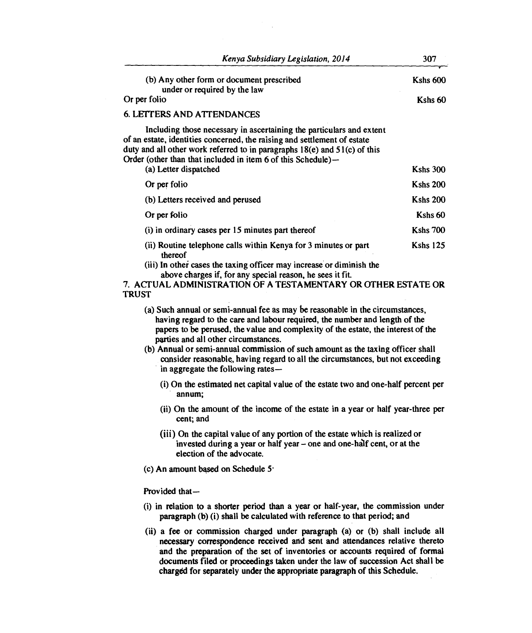| Kenya Subsidiary Legislation, 2014                                                                                                                                                                                                                                                                                         | 307             |
|----------------------------------------------------------------------------------------------------------------------------------------------------------------------------------------------------------------------------------------------------------------------------------------------------------------------------|-----------------|
| (b) Any other form or document prescribed<br>under or required by the law                                                                                                                                                                                                                                                  | <b>Kshs 600</b> |
| Or per folio                                                                                                                                                                                                                                                                                                               | Kshs 60         |
| <b>6. LETTERS AND ATTENDANCES</b>                                                                                                                                                                                                                                                                                          |                 |
| Including those necessary in ascertaining the particulars and extent<br>of an estate, identities concerned, the raising and settlement of estate<br>duty and all other work referred to in paragraphs $18(e)$ and $51(c)$ of this<br>Order (other than that included in item 6 of this Schedule)—<br>(a) Letter dispatched | <b>Kshs 300</b> |
| Or per folio                                                                                                                                                                                                                                                                                                               | <b>Kshs 200</b> |
| (b) Letters received and perused                                                                                                                                                                                                                                                                                           | <b>Kshs 200</b> |
| Or per folio                                                                                                                                                                                                                                                                                                               | Kshs 60         |
| (i) in ordinary cases per 15 minutes part thereof                                                                                                                                                                                                                                                                          | <b>Kshs 700</b> |
| (ii) Routine telephone calls within Kenya for 3 minutes or part<br>thereof<br>(iii) In other cases the taxing officer may increase or diminish the                                                                                                                                                                         | <b>Kshs 125</b> |
| above charges if, for any special reason, he sees it fit.                                                                                                                                                                                                                                                                  |                 |

**7. ACTUAL ADMINISTRATION OF A TESTAMENTARY OR OTHER ESTATE OR TRUST** 

- **(a) Such annual or semi-annual fee as may be reasonable in the circumstances, having regard to the care and labour required, the number and length of the papers to be perused, the value and complexity of the estate, the interest of the parties and all other circumstances.**
- **(b) Annual or semi-annual commission of such amount as the taxing officer shall consider reasonable, having regard to all the circumstances, but not exceeding in aggregate the following rates-** 
	- **(i) On the estimated net capital value of the estate two and one-half percent per annum;**
	- **(ii) On the amount of the income of the estate in a year or half year-three per cent; and**
	- **(iii) On the capital value of any portion of the estate which is realized or invested during a year or half year – one and one-half cent, or at the election of the advocate.**
- **(c) An amount based on Schedule 5•**

### Provided that-

- **(i) in relation to a shorter period than a year or half-year, the commission under paragraph (b) (i) shall be calculated with reference to that period; and**
- **(ii) a fee or commission charged under paragraph (a) or (b) shall include all necessary correspondence received and sent and attendances relative thereto and the preparation of the set of inventories or accounts required of formal documents filed or proceedings taken under the law of succession Act shall be charged for separately under the appropriate paragraph of this Schedule.**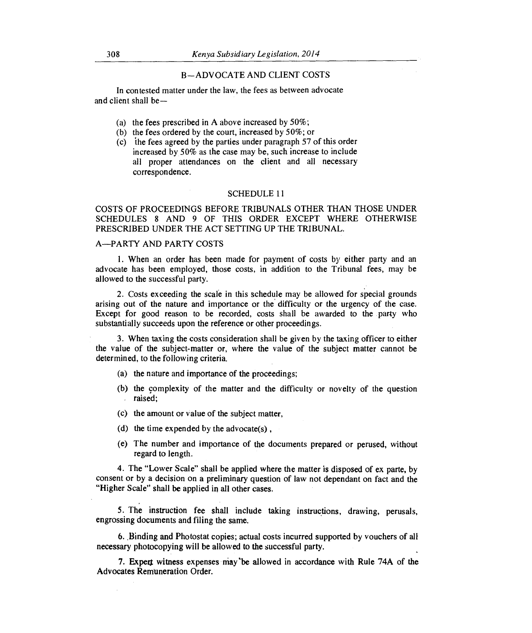### B—ADVOCATE AND CLIENT COSTS

In contested matter under the law, the fees as between advocate and client shall be—

- (a) the fees prescribed in A above increased by 50%;
- (b) the fees ordered by the court, increased by 50%; or
- (c) the fees agreed by the parties under paragraph 57 of this order increased by 50% as the case may be, such increase to include all proper attendances on the client and all necessary correspondence.

### SCHEDULE 11

COSTS OF PROCEEDINGS BEFORE TRIBUNALS OTHER THAN THOSE UNDER SCHEDULES 8 AND 9 OF THIS ORDER EXCEPT WHERE OTHERWISE PRESCRIBED UNDER THE ACT SETTING UP THE TRIBUNAL.

## A—PARTY AND PARTY COSTS

1. When an order has been made for payment of costs by either party and an advocate has been employed, those costs, in addition to the Tribunal fees, may be allowed to the successful party.

2. Costs exceeding the scale in this schedule may be allowed for special grounds arising out of the nature and importance or the difficulty or the urgency of the case. Except for good reason to be recorded, costs shall be awarded to the party who substantially succeeds upon the reference or other proceedings.

3. When taxing the costs consideration shall be given by the taxing officer to either the value of the subject-matter or, where the value of the subject matter cannot be determined, to the following criteria.

- (a) the nature and importance of the proceedings;
- (b) the complexity of the matter and the difficulty or novelty of the question raised;
- (c) the amount or value of the subject matter,
- (d) the time expended by the advocate $(s)$ ,
- (e) The number and importance of the documents prepared or perused, without regard to length.

4. The "Lower Scale" shall be applied where the matter is disposed of ex parte, by consent or by a decision on a preliminary question of law not dependant on fact and the "Higher Scale" shall be applied in all other cases.

5. The instruction fee shall include taking instructions, drawing, perusals, engrossing documents and filing the same.

6..Binding and Photostat copies; actual costs incurred supported by vouchers of all necessary photocopying will be allowed to the successful party.

7. Expert witness expenses may be allowed in accordance with Rule 74A of the Advocates Remuneration Order.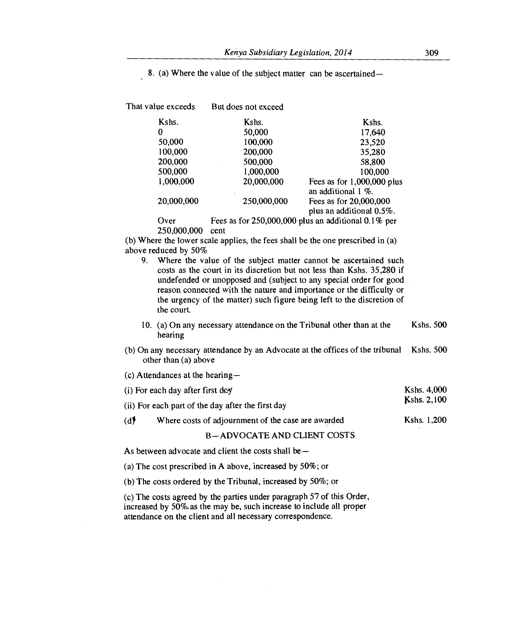8. (a) Where the value of the subject matter can be ascertained-

| That value exceeds | But does not exceed |                                                          |
|--------------------|---------------------|----------------------------------------------------------|
| Kshs.              | Kshs.               | Kshs.                                                    |
| 0                  | 50,000              | 17.640                                                   |
| 50,000             | 100,000             | 23,520                                                   |
| 100,000            | 200,000             | 35,280                                                   |
| 200,000            | 500,000             | 58,800                                                   |
| 500,000            | 1,000,000           | 100,000                                                  |
| 1,000,000          | 20,000,000          | Fees as for $1,000,000$ plus<br>an additional $1\%$ .    |
| 20,000,000         | 250,000,000         | Fees as for 20,000,000<br>plus an additional 0.5%.       |
| Over               |                     | Fees as for $250,000,000$ plus an additional $0.1\%$ per |
| 250,000,000        | cent                |                                                          |

(b) Where the lower scale applies, the fees shall be the one prescribed in (a) above reduced by 50%

- 9. Where the value of the subject matter cannot be ascertained such costs as the court in its discretion but not less than Kshs. 35,280 if undefended or unopposed and (subject to any special order for good reason connected with the nature and importance or the difficulty or the urgency of the matter) such figure being left to the discretion of the court.
- 10. (a) On any necessary attendance on the Tribunal other than at the Kshs. 500 hearing
- (b) On any necessary attendance by an Advocate at the offices of the tribunal Kshs. 500 other than (a) above
- (c) Attendances at the hearing-

|     | (i) For each day after first $d\alpha$             | Kshs. 4,000 |
|-----|----------------------------------------------------|-------------|
|     | (ii) For each part of the day after the first day  | Kshs. 2,100 |
| (d) | Where costs of adjournment of the case are awarded | Kshs. 1.200 |

# B—ADVOCATE AND CLIENT COSTS

As between advocate and client the costs shall be —

(a) The cost prescribed in A above, increased by 50%; or

(b) The costs ordered by the Tribunal, increased by 50%; or

(c) The costs agreed by the parties under paragraph 57 of this Order, increased by 50%.as the may be, such increase to include all proper attendance on the client and all necessary correspondence.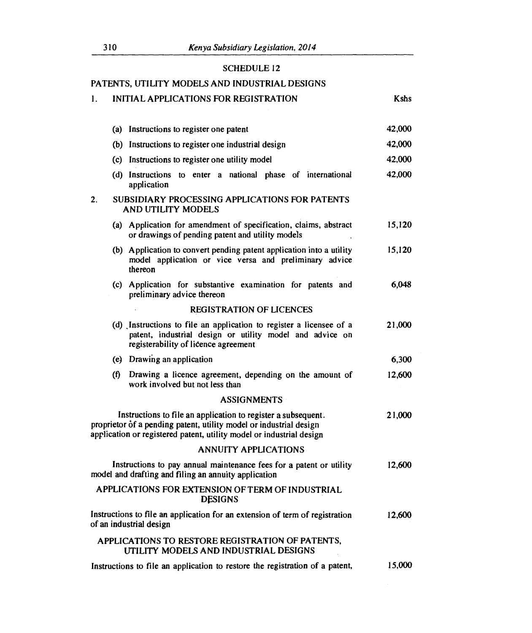# SCHEDULE 12

# PATENTS, UTILITY MODELS AND INDUSTRIAL DESIGNS

| 1. |     | INITIAL APPLICATIONS FOR REGISTRATION                                                                                                                                                                       | <b>Kshs</b> |
|----|-----|-------------------------------------------------------------------------------------------------------------------------------------------------------------------------------------------------------------|-------------|
|    |     | (a) Instructions to register one patent                                                                                                                                                                     | 42,000      |
|    |     | (b) Instructions to register one industrial design                                                                                                                                                          | 42,000      |
|    |     | (c) Instructions to register one utility model                                                                                                                                                              | 42,000      |
|    |     | (d) Instructions to enter a national phase of international<br>application                                                                                                                                  | 42,000      |
| 2. |     | SUBSIDIARY PROCESSING APPLICATIONS FOR PATENTS<br>AND UTILITY MODELS                                                                                                                                        |             |
|    |     | (a) Application for amendment of specification, claims, abstract<br>or drawings of pending patent and utility models                                                                                        | 15,120      |
|    |     | (b) Application to convert pending patent application into a utility<br>model application or vice versa and preliminary advice<br>thereon                                                                   | 15,120      |
|    |     | (c) Application for substantive examination for patents and<br>preliminary advice thereon                                                                                                                   | 6,048       |
|    |     | <b>REGISTRATION OF LICENCES</b>                                                                                                                                                                             |             |
|    |     | (d) Instructions to file an application to register a licensee of a<br>patent, industrial design or utility model and advice on<br>registerability of licence agreement                                     | 21,000      |
|    |     | (e) Drawing an application                                                                                                                                                                                  | 6,300       |
|    | (f) | Drawing a licence agreement, depending on the amount of<br>work involved but not less than                                                                                                                  | 12,600      |
|    |     | <b>ASSIGNMENTS</b>                                                                                                                                                                                          |             |
|    |     | Instructions to file an application to register a subsequent.<br>proprietor of a pending patent, utility model or industrial design<br>application or registered patent, utility model or industrial design | 21,000      |
|    |     | <b>ANNUITY APPLICATIONS</b>                                                                                                                                                                                 |             |
|    |     | Instructions to pay annual maintenance fees for a patent or utility<br>model and drafting and filing an annuity application                                                                                 | 12,600      |
|    |     | APPLICATIONS FOR EXTENSION OF TERM OF INDUSTRIAL<br><b>DESIGNS</b>                                                                                                                                          |             |
|    |     | Instructions to file an application for an extension of term of registration<br>of an industrial design                                                                                                     | 12,600      |
|    |     | APPLICATIONS TO RESTORE REGISTRATION OF PATENTS,<br>UTILITY MODELS AND INDUSTRIAL DESIGNS                                                                                                                   |             |
|    |     | Instructions to file an application to restore the registration of a patent,                                                                                                                                | 15,000      |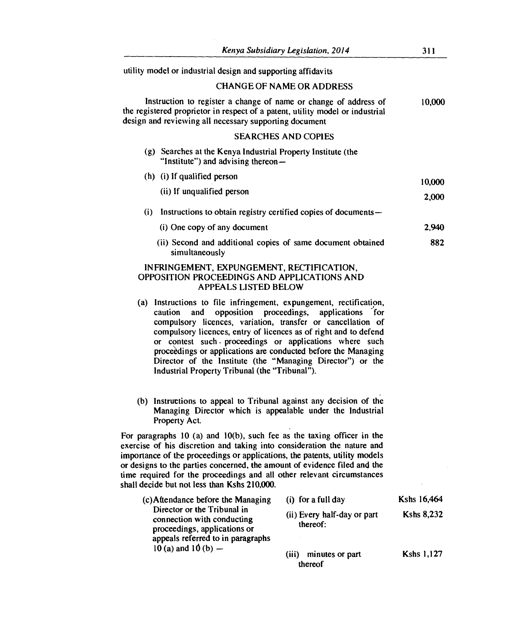utility model or industrial design and supporting affidavits

## CHANGE OF NAME OR ADDRESS

Instruction to register a change of name or change of address of the registered proprietor in respect of a patent, utility model or industrial design and reviewing all necessary supporting document 10,000

# SEARCHES AND COPIES

|     | (g) Searches at the Kenya Industrial Property Institute (the<br>"Institute") and advising thereon- |        |
|-----|----------------------------------------------------------------------------------------------------|--------|
|     | (h) (i) If qualified person                                                                        | 10.000 |
|     | (ii) If unqualified person                                                                         | 2.000  |
| (i) | Instructions to obtain registry certified copies of documents—                                     |        |
|     | (i) One copy of any document                                                                       | 2.940  |
|     | (ii) Second and additional copies of same document obtained                                        | 882    |

# INFRINGEMENT, EXPUNGEMENT, RECTIFICATION, OPPOSITION PROCEEDINGS AND APPLICATIONS AND APPEALS LISTED BELOW

simultaneously

- (a) Instructions to file infringement, expungement, rectification, caution and opposition proceedings, applications for compulsory licences, variation, transfer or cancellation of compulsory licences, entry of licences as of right and to defend or contest such . proceedings or applications where such procedings or applications are conducted before the Managing Director of the Institute (the "Managing Director") or the Industrial Property Tribunal (the "Tribunal").
- (b) Instructions to appeal to Tribunal against any decision of the Managing Director which is appealable under the Industrial Property Act.

For paragraphs 10 (a) and 10(b), such fee as the taxing officer in the exercise of his discretion and taking into consideration the nature and importance of the proceedings or applications, the patents, utility models or designs to the parties concerned, the amount of evidence filed and the time required for the proceedings and all other relevant circumstances shall decide but not less than Kshs 210,000.

| (c) Attendance before the Managing                                                                                             | (i) for a full day                      | Kshs 16,464       |
|--------------------------------------------------------------------------------------------------------------------------------|-----------------------------------------|-------------------|
| Director or the Tribunal in<br>connection with conducting<br>proceedings, applications or<br>appeals referred to in paragraphs | (ii) Every half-day or part<br>thereof: | <b>Kshs 8,232</b> |
| $10(a)$ and $10(b)$ —                                                                                                          | minutes or part<br>(iii)<br>thereof     | <b>Kshs 1,127</b> |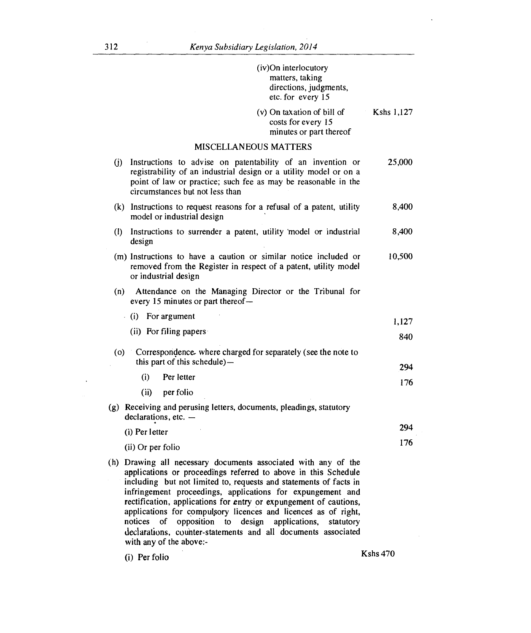|     | (iv)On interlocutory<br>matters, taking<br>directions, judgments,<br>etc. for every 15                                                                                                                                                                                                                                                                                                                                                                                                                                                                                     |            |
|-----|----------------------------------------------------------------------------------------------------------------------------------------------------------------------------------------------------------------------------------------------------------------------------------------------------------------------------------------------------------------------------------------------------------------------------------------------------------------------------------------------------------------------------------------------------------------------------|------------|
|     | (v) On taxation of bill of<br>costs for every 15<br>minutes or part thereof                                                                                                                                                                                                                                                                                                                                                                                                                                                                                                | Kshs 1,127 |
|     | <b>MISCELLANEOUS MATTERS</b>                                                                                                                                                                                                                                                                                                                                                                                                                                                                                                                                               |            |
| (j) | Instructions to advise on patentability of an invention or<br>registrability of an industrial design or a utility model or on a<br>point of law or practice; such fee as may be reasonable in the<br>circumstances but not less than                                                                                                                                                                                                                                                                                                                                       | 25,000     |
|     | (k) Instructions to request reasons for a refusal of a patent, utility<br>model or industrial design                                                                                                                                                                                                                                                                                                                                                                                                                                                                       | 8,400      |
|     | (I) Instructions to surrender a patent, utility model or industrial<br>design                                                                                                                                                                                                                                                                                                                                                                                                                                                                                              | 8,400      |
|     | (m) Instructions to have a caution or similar notice included or<br>removed from the Register in respect of a patent, utility model<br>or industrial design                                                                                                                                                                                                                                                                                                                                                                                                                | 10,500     |
|     | (n) Attendance on the Managing Director or the Tribunal for<br>every 15 minutes or part thereof -                                                                                                                                                                                                                                                                                                                                                                                                                                                                          |            |
|     | (i) For argument                                                                                                                                                                                                                                                                                                                                                                                                                                                                                                                                                           | 1,127      |
|     | (ii) For filing papers                                                                                                                                                                                                                                                                                                                                                                                                                                                                                                                                                     | 840        |
| (0) | Correspondence, where charged for separately (see the note to<br>this part of this schedule)—                                                                                                                                                                                                                                                                                                                                                                                                                                                                              |            |
|     | (i)<br>Per letter                                                                                                                                                                                                                                                                                                                                                                                                                                                                                                                                                          | 294        |
|     | (ii)<br>per folio                                                                                                                                                                                                                                                                                                                                                                                                                                                                                                                                                          | 176        |
|     | (g) Receiving and perusing letters, documents, pleadings, statutory<br>$declarations, etc.$ —                                                                                                                                                                                                                                                                                                                                                                                                                                                                              |            |
|     | (i) Per letter                                                                                                                                                                                                                                                                                                                                                                                                                                                                                                                                                             | 294        |
|     | (ii) Or per folio                                                                                                                                                                                                                                                                                                                                                                                                                                                                                                                                                          | 176        |
|     | (h) Drawing all necessary documents associated with any of the<br>applications or proceedings referred to above in this Schedule<br>including but not limited to, requests and statements of facts in<br>infringement proceedings, applications for expungement and<br>rectification, applications for entry or expungement of cautions,<br>applications for compulsory licences and licences as of right,<br>notices of<br>opposition to design<br>applications,<br>statutory<br>declarations, counter-statements and all documents associated<br>with any of the above:- |            |
|     | (i) Per folio                                                                                                                                                                                                                                                                                                                                                                                                                                                                                                                                                              | Kshs $470$ |

J.